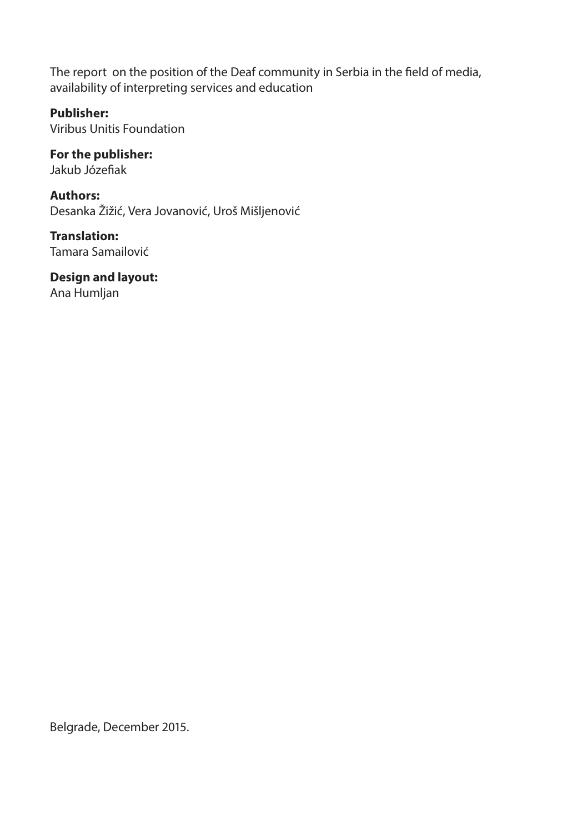The report on the position of the Deaf community in Serbia in the field of media, availability of interpreting services and education

#### **Publisher:**

Viribus Unitis Foundation

#### **Authors:**

Desanka Žižić, Vera Jovanović, Uroš Mišljenović BLVC KGJBL SBHBOB3BJ KWJ &

**Translation:**  Tamara Samailović

**Design and layout:**  Ana Humljan

Belgrade, December 2015.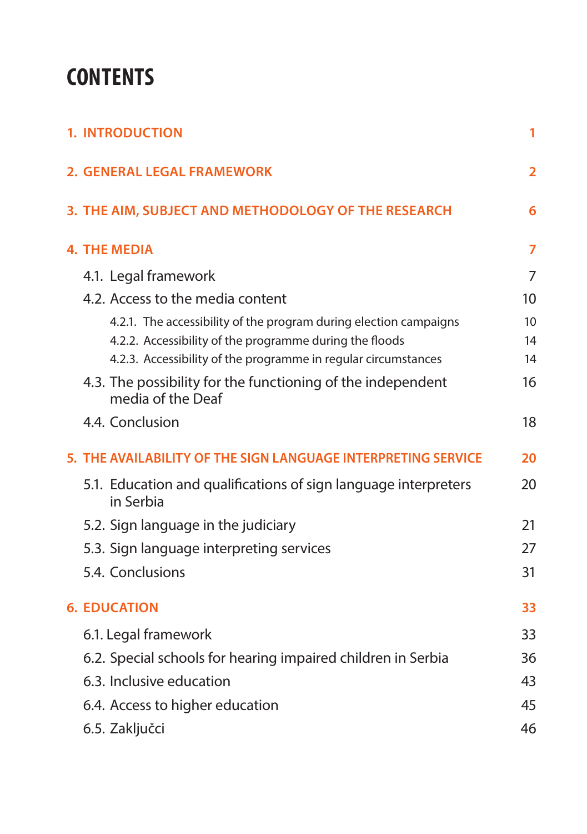# **Contents**

|  | <b>1. INTRODUCTION</b>                                                           | 1              |
|--|----------------------------------------------------------------------------------|----------------|
|  | <b>2. GENERAL LEGAL FRAMEWORK</b>                                                | $\overline{2}$ |
|  | 3. THE AIM, SUBJECT AND METHODOLOGY OF THE RESEARCH                              | 6              |
|  | <b>4. THE MEDIA</b>                                                              | 7              |
|  | 4.1. Legal framework                                                             | 7              |
|  | 4.2. Access to the media content                                                 | 10             |
|  | 4.2.1. The accessibility of the program during election campaigns                | 10             |
|  | 4.2.2. Accessibility of the programme during the floods                          | 14             |
|  | 4.2.3. Accessibility of the programme in regular circumstances                   | 14             |
|  | 4.3. The possibility for the functioning of the independent<br>media of the Deaf | 16             |
|  | 4.4. Conclusion                                                                  | 18             |
|  | 5. THE AVAILABILITY OF THE SIGN LANGUAGE INTERPRETING SERVICE                    | 20             |
|  | 5.1. Education and qualifications of sign language interpreters<br>in Serbia     | 20             |
|  | 5.2. Sign language in the judiciary                                              | 21             |
|  | 5.3. Sign language interpreting services                                         | 27             |
|  | 5.4. Conclusions                                                                 | 31             |
|  | <b>6. EDUCATION</b>                                                              | 33             |
|  | 6.1. Legal framework                                                             | 33             |
|  | 6.2. Special schools for hearing impaired children in Serbia                     | 36             |
|  | 6.3. Inclusive education                                                         | 43             |
|  | 6.4. Access to higher education                                                  | 45             |
|  | 6.5. Zaključci                                                                   | 46             |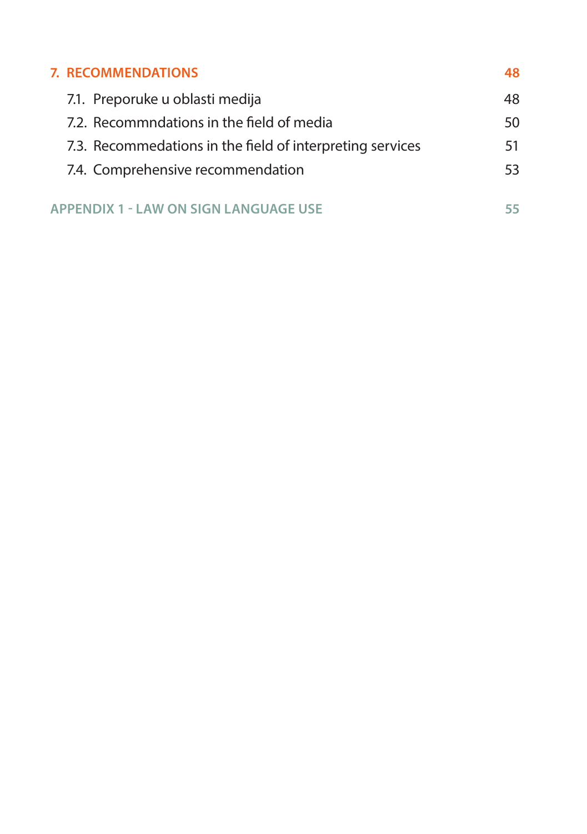| <b>7. RECOMMENDATIONS</b>                                 | 48  |
|-----------------------------------------------------------|-----|
| 7.1. Preporuke u oblasti medija                           | 48  |
| 7.2. Recommndations in the field of media                 | 50  |
| 7.3. Recommedations in the field of interpreting services | 51  |
| 7.4. Comprehensive recommendation                         | 53. |
|                                                           |     |
| <b>APPENDIX 1 - LAW ON SIGN LANGUAGE USE</b>              | 55  |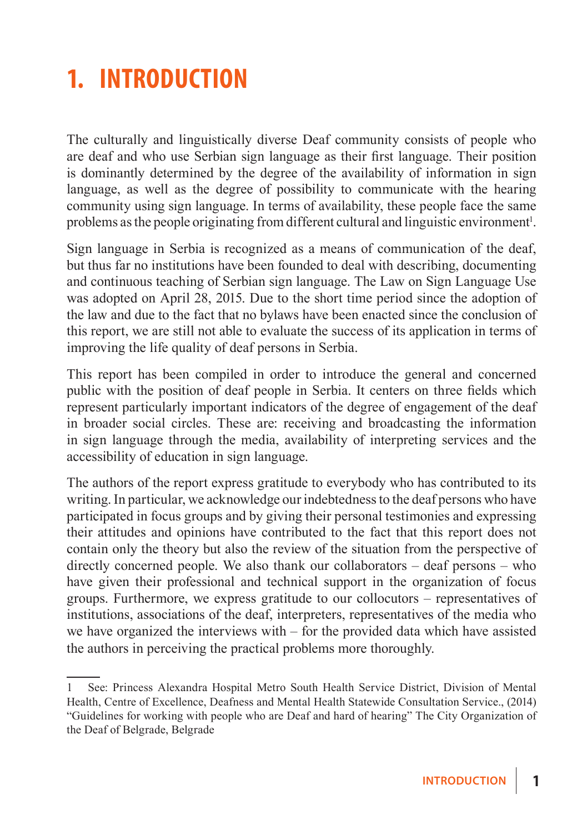# **1. Introduction**

The culturally and linguistically diverse Deaf community consists of people who are deaf and who use Serbian sign language as their first language. Their position is dominantly determined by the degree of the availability of information in sign language, as well as the degree of possibility to communicate with the hearing community using sign language. In terms of availability, these people face the same problems as the people originating from different cultural and linguistic environment<sup>1</sup>.

Sign language in Serbia is recognized as a means of communication of the deaf, but thus far no institutions have been founded to deal with describing, documenting and continuous teaching of Serbian sign language. The Law on Sign Language Use was adopted on April 28, 2015. Due to the short time period since the adoption of the law and due to the fact that no bylaws have been enacted since the conclusion of this report, we are still not able to evaluate the success of its application in terms of improving the life quality of deaf persons in Serbia.

This report has been compiled in order to introduce the general and concerned public with the position of deaf people in Serbia. It centers on three fields which represent particularly important indicators of the degree of engagement of the deaf in broader social circles. These are: receiving and broadcasting the information in sign language through the media, availability of interpreting services and the accessibility of education in sign language.

The authors of the report express gratitude to everybody who has contributed to its writing. In particular, we acknowledge our indebtedness to the deaf persons who have participated in focus groups and by giving their personal testimonies and expressing their attitudes and opinions have contributed to the fact that this report does not contain only the theory but also the review of the situation from the perspective of directly concerned people. We also thank our collaborators – deaf persons – who have given their professional and technical support in the organization of focus groups. Furthermore, we express gratitude to our collocutors – representatives of institutions, associations of the deaf, interpreters, representatives of the media who we have organized the interviews with – for the provided data which have assisted the authors in perceiving the practical problems more thoroughly.

<sup>1</sup> See: Princess Alexandra Hospital Metro South Health Service District, Division of Mental Health, Centre of Excellence, Deafness and Mental Health Statewide Consultation Service., (2014) "Guidelines for working with people who are Deaf and hard of hearing" The City Organization of the Deaf of Belgrade, Belgrade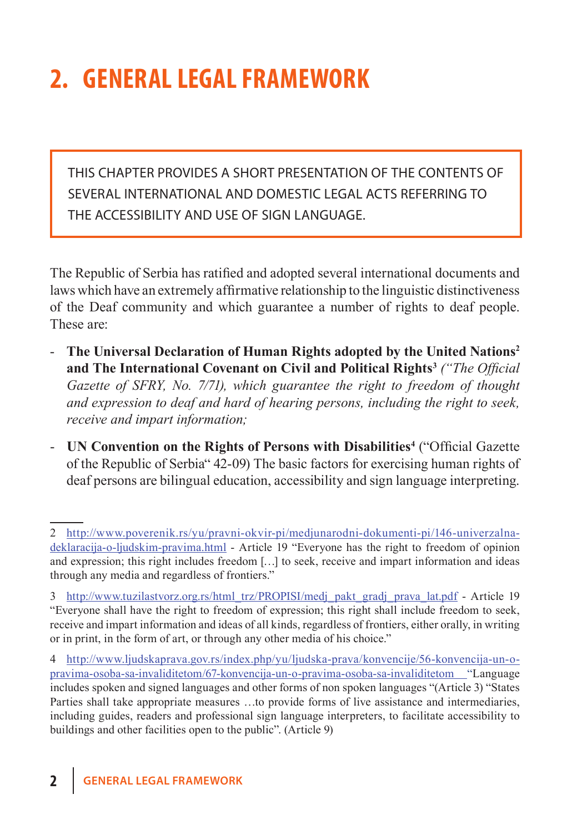# **2. General legal framework**

This chapter provides a short presentation of the contents of several international and domestic legal acts referring to the accessibility and use of sign language.

The Republic of Serbia has ratified and adopted several international documents and laws which have an extremely affirmative relationship to the linguistic distinctiveness of the Deaf community and which guarantee a number of rights to deaf people. These are:

- **The Universal Declaration of Human Rights adopted by the United Nations2 and The International Covenant on Civil and Political Rights3** *("The Official Gazette of SFRY, No. 7/71), which guarantee the right to freedom of thought and expression to deaf and hard of hearing persons, including the right to seek, receive and impart information;*
- **UN Convention on the Rights of Persons with Disabilities<sup>4</sup> ("Official Gazette")** of the Republic of Serbia" 42-09) The basic factors for exercising human rights of deaf persons are bilingual education, accessibility and sign language interpreting.

<sup>2</sup> http://www.poverenik.rs/yu/pravni-okvir-pi/medjunarodni-dokumenti-pi/146-univerzalnadeklaracija-o-ljudskim-pravima.html - Article 19 "Everyone has the right to freedom of opinion and expression; this right includes freedom […] to seek, receive and impart information and ideas through any media and regardless of frontiers."

<sup>3</sup> http://www.tuzilastvorz.org.rs/html\_trz/PROPISI/medj\_pakt\_gradj\_prava\_lat.pdf - Article 19 "Everyone shall have the right to freedom of expression; this right shall include freedom to seek, receive and impart information and ideas of all kinds, regardless of frontiers, either orally, in writing or in print, in the form of art, or through any other media of his choice."

<sup>4</sup> http://www.ljudskaprava.gov.rs/index.php/yu/ljudska-prava/konvencije/56-konvencija-un-opravima-osoba-sa-invaliditetom/67-konvencija-un-o-pravima-osoba-sa-invaliditetom "Language includes spoken and signed languages and other forms of non spoken languages "(Article 3) "States Parties shall take appropriate measures …to provide forms of live assistance and intermediaries, including guides, readers and professional sign language interpreters, to facilitate accessibility to buildings and other facilities open to the public". (Article 9)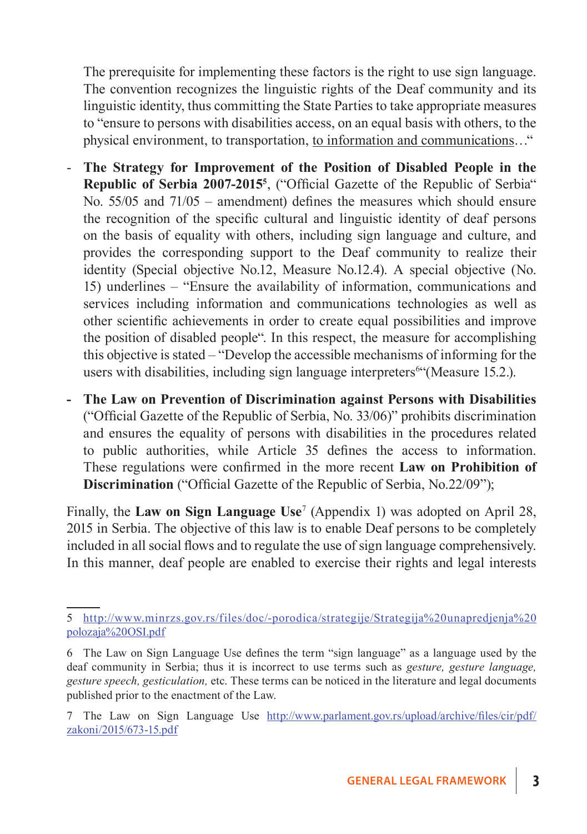The prerequisite for implementing these factors is the right to use sign language. The convention recognizes the linguistic rights of the Deaf community and its linguistic identity, thus committing the State Parties to take appropriate measures to "ensure to persons with disabilities access, on an equal basis with others, to the physical environment, to transportation, to information and communications…"

- **The Strategy for Improvement of the Position of Disabled People in the Republic of Serbia 2007-2015**<sup>5</sup>, ("Official Gazette of the Republic of Serbia" No. 55/05 and 71/05 – amendment) defines the measures which should ensure the recognition of the specific cultural and linguistic identity of deaf persons on the basis of equality with others, including sign language and culture, and provides the corresponding support to the Deaf community to realize their identity (Special objective No.12, Measure No.12.4). A special objective (No. 15) underlines – "Ensure the availability of information, communications and services including information and communications technologies as well as other scientific achievements in order to create equal possibilities and improve the position of disabled people". In this respect, the measure for accomplishing this objective is stated – "Develop the accessible mechanisms of informing for the users with disabilities, including sign language interpreters<sup>64</sup> (Measure 15.2.).
- **The Law on Prevention of Discrimination against Persons with Disabilities**  ("Official Gazette of the Republic of Serbia, No. 33/06)" prohibits discrimination and ensures the equality of persons with disabilities in the procedures related to public authorities, while Article 35 defines the access to information. These regulations were confirmed in the more recent **Law on Prohibition of Discrimination** ("Official Gazette of the Republic of Serbia, No.22/09");

Finally, the **Law on Sign Language Use**<sup>7</sup> (Appendix 1) was adopted on April 28, 2015 in Serbia. The objective of this law is to enable Deaf persons to be completely included in all social flows and to regulate the use of sign language comprehensively. In this manner, deaf people are enabled to exercise their rights and legal interests

<sup>5</sup> http://www.minrzs.gov.rs/files/doc/-porodica/strategije/Strategija%20unapredjenja%20 polozaja%20OSI.pdf

<sup>6</sup> The Law on Sign Language Use defines the term "sign language" as a language used by the deaf community in Serbia; thus it is incorrect to use terms such as *gesture, gesture language, gesture speech, gesticulation,* etc. These terms can be noticed in the literature and legal documents published prior to the enactment of the Law.

<sup>7</sup> The Law on Sign Language Use http://www.parlament.gov.rs/upload/archive/files/cir/pdf/ zakoni/2015/673-15.pdf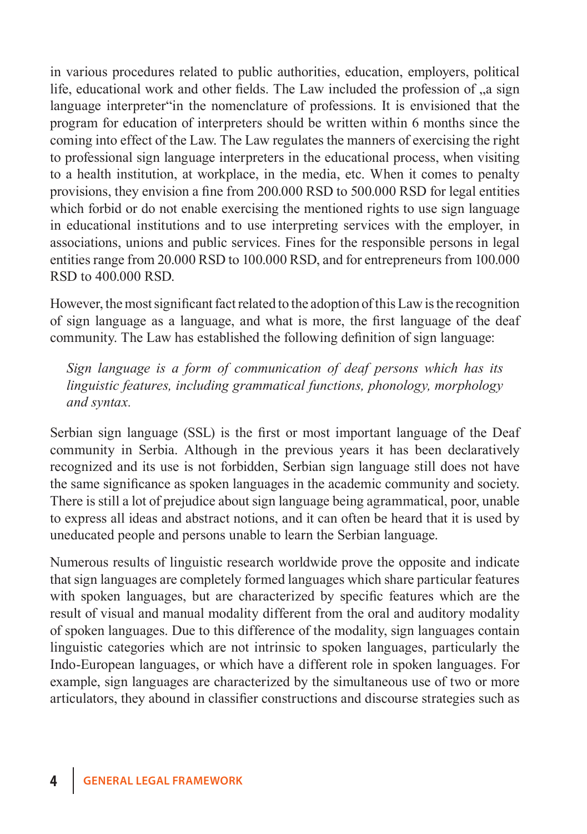in various procedures related to public authorities, education, employers, political life, educational work and other fields. The Law included the profession of  $\alpha$  a sign language interpreter"in the nomenclature of professions. It is envisioned that the program for education of interpreters should be written within 6 months since the coming into effect of the Law. The Law regulates the manners of exercising the right to professional sign language interpreters in the educational process, when visiting to a health institution, at workplace, in the media, etc. When it comes to penalty provisions, they envision a fine from 200.000 RSD to 500.000 RSD for legal entities which forbid or do not enable exercising the mentioned rights to use sign language in educational institutions and to use interpreting services with the employer, in associations, unions and public services. Fines for the responsible persons in legal entities range from 20.000 RSD to 100.000 RSD, and for entrepreneurs from 100.000 RSD to 400.000 RSD.

However, the most significant fact related to the adoption of this Law is the recognition of sign language as a language, and what is more, the first language of the deaf community. The Law has established the following definition of sign language:

*Sign language is a form of communication of deaf persons which has its linguistic features, including grammatical functions, phonology, morphology and syntax.*

Serbian sign language (SSL) is the first or most important language of the Deaf community in Serbia. Although in the previous years it has been declaratively recognized and its use is not forbidden, Serbian sign language still does not have the same significance as spoken languages in the academic community and society. There is still a lot of prejudice about sign language being agrammatical, poor, unable to express all ideas and abstract notions, and it can often be heard that it is used by uneducated people and persons unable to learn the Serbian language.

Numerous results of linguistic research worldwide prove the opposite and indicate that sign languages are completely formed languages which share particular features with spoken languages, but are characterized by specific features which are the result of visual and manual modality different from the oral and auditory modality of spoken languages. Due to this difference of the modality, sign languages contain linguistic categories which are not intrinsic to spoken languages, particularly the Indo-European languages, or which have a different role in spoken languages. For example, sign languages are characterized by the simultaneous use of two or more articulators, they abound in classifier constructions and discourse strategies such as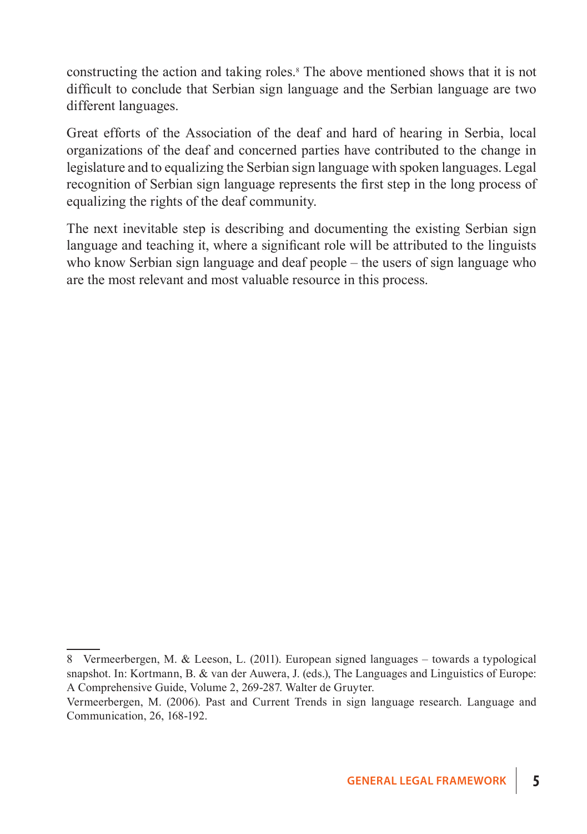constructing the action and taking roles.<sup>8</sup> The above mentioned shows that it is not difficult to conclude that Serbian sign language and the Serbian language are two different languages.

Great efforts of the Association of the deaf and hard of hearing in Serbia, local organizations of the deaf and concerned parties have contributed to the change in legislature and to equalizing the Serbian sign language with spoken languages. Legal recognition of Serbian sign language represents the first step in the long process of equalizing the rights of the deaf community.

The next inevitable step is describing and documenting the existing Serbian sign language and teaching it, where a significant role will be attributed to the linguists who know Serbian sign language and deaf people – the users of sign language who are the most relevant and most valuable resource in this process.

<sup>8</sup> Vermeerbergen, M. & Leeson, L. (2011). European signed languages – towards a typological snapshot. In: Kortmann, B. & van der Auwera, J. (eds.), The Languages and Linguistics of Europe: A Comprehensive Guide, Volume 2, 269-287. Walter de Gruyter.

Vermeerbergen, M. (2006). Past and Current Trends in sign language research. Language and Communication, 26, 168-192.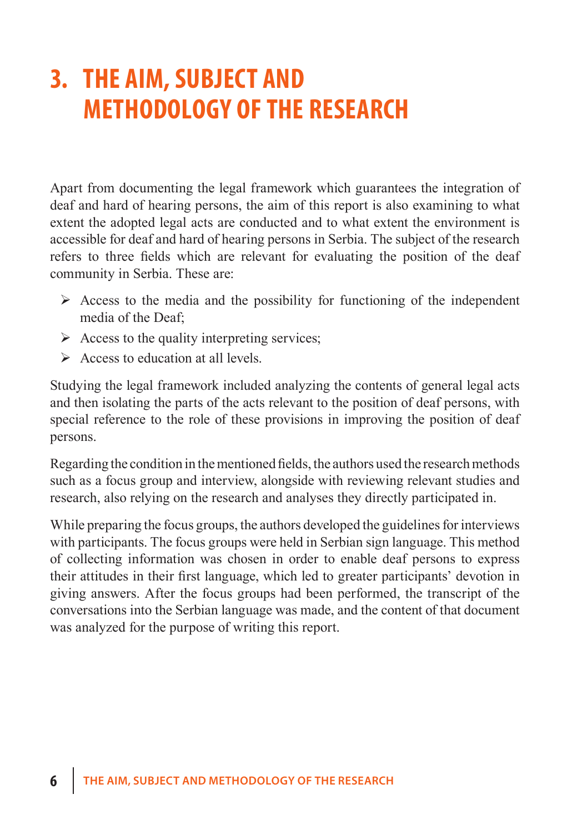# **3. The aim, subject and methodology of the research**

Apart from documenting the legal framework which guarantees the integration of deaf and hard of hearing persons, the aim of this report is also examining to what extent the adopted legal acts are conducted and to what extent the environment is accessible for deaf and hard of hearing persons in Serbia. The subject of the research refers to three fields which are relevant for evaluating the position of the deaf community in Serbia. These are:

- $\triangleright$  Access to the media and the possibility for functioning of the independent media of the Deaf;
- $\triangleright$  Access to the quality interpreting services;
- $\triangleright$  Access to education at all levels.

Studying the legal framework included analyzing the contents of general legal acts and then isolating the parts of the acts relevant to the position of deaf persons, with special reference to the role of these provisions in improving the position of deaf persons.

Regarding the condition in the mentioned fields, the authors used the research methods such as a focus group and interview, alongside with reviewing relevant studies and research, also relying on the research and analyses they directly participated in.

While preparing the focus groups, the authors developed the guidelines for interviews with participants. The focus groups were held in Serbian sign language. This method of collecting information was chosen in order to enable deaf persons to express their attitudes in their first language, which led to greater participants' devotion in giving answers. After the focus groups had been performed, the transcript of the conversations into the Serbian language was made, and the content of that document was analyzed for the purpose of writing this report.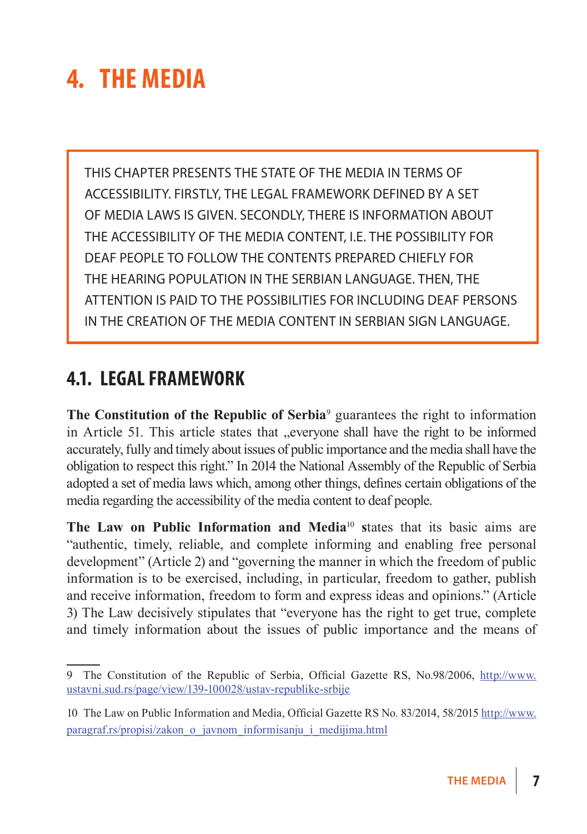# **4. The media**

This chapter presents the state of the media in terms of accessibility. Firstly, the legal framework defined by a set of media laws is given. Secondly, there is information about the accessibility of the media content, i.e. the possibility for deaf people to follow the contents prepared chiefly for the hearing population in the Serbian language. Then, the attention is paid to the possibilities for including deaf persons in the creation of the media content in Serbian sign language.

### **4.1. Legal framework**

**The Constitution of the Republic of Serbia**<sup>9</sup> guarantees the right to information in Article 51. This article states that "everyone shall have the right to be informed accurately, fully and timely about issues of public importance and the media shall have the obligation to respect this right." In 2014 the National Assembly of the Republic of Serbia adopted a set of media laws which, among other things, defines certain obligations of the media regarding the accessibility of the media content to deaf people.

The Law on Public Information and Media<sup>10</sup> states that its basic aims are "authentic, timely, reliable, and complete informing and enabling free personal development" (Article 2) and "governing the manner in which the freedom of public information is to be exercised, including, in particular, freedom to gather, publish and receive information, freedom to form and express ideas and opinions." (Article 3) The Law decisively stipulates that "everyone has the right to get true, complete and timely information about the issues of public importance and the means of

<sup>9</sup> The Constitution of the Republic of Serbia, Official Gazette RS, No.98/2006, http://www. ustavni.sud.rs/page/view/139-100028/ustav-republike-srbije

<sup>10</sup> The Law on Public Information and Media, Official Gazette RS No. 83/2014, 58/2015 http://www. paragraf.rs/propisi/zakon\_o\_javnom\_informisanju\_i\_medijima.html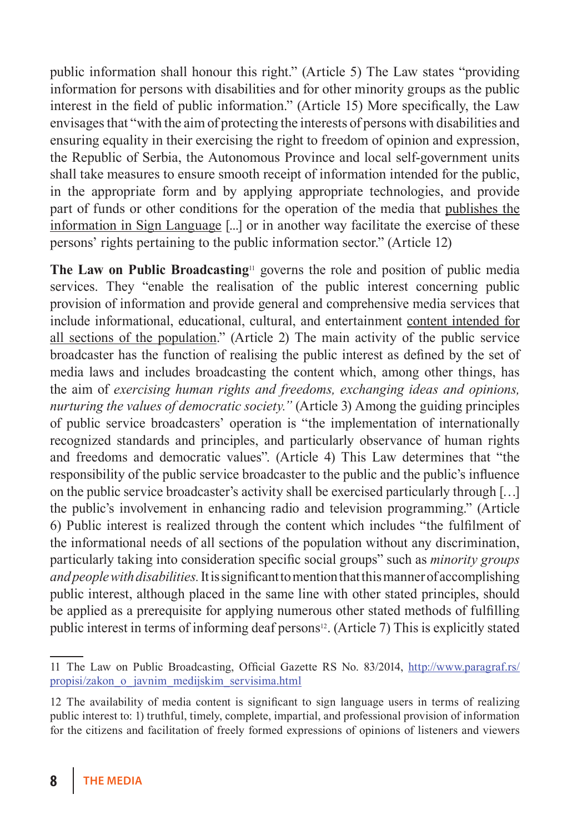public information shall honour this right." (Article 5) The Law states "providing information for persons with disabilities and for other minority groups as the public interest in the field of public information." (Article 15) More specifically, the Law envisages that "with the aim of protecting the interests of persons with disabilities and ensuring equality in their exercising the right to freedom of opinion and expression, the Republic of Serbia, the Autonomous Province and local self-government units shall take measures to ensure smooth receipt of information intended for the public, in the appropriate form and by applying appropriate technologies, and provide part of funds or other conditions for the operation of the media that publishes the information in Sign Language [...] or in another way facilitate the exercise of these persons' rights pertaining to the public information sector." (Article 12)

**The Law on Public Broadcasting**<sup>11</sup> governs the role and position of public media services. They "enable the realisation of the public interest concerning public provision of information and provide general and comprehensive media services that include informational, educational, cultural, and entertainment content intended for all sections of the population." (Article 2) The main activity of the public service broadcaster has the function of realising the public interest as defined by the set of media laws and includes broadcasting the content which, among other things, has the aim of *exercising human rights and freedoms, exchanging ideas and opinions, nurturing the values of democratic society."* (Article 3) Among the guiding principles of public service broadcasters' operation is "the implementation of internationally recognized standards and principles, and particularly observance of human rights and freedoms and democratic values". (Article 4) This Law determines that "the responsibility of the public service broadcaster to the public and the public's influence on the public service broadcaster's activity shall be exercised particularly through […] the public's involvement in enhancing radio and television programming." (Article 6) Public interest is realized through the content which includes "the fulfilment of the informational needs of all sections of the population without any discrimination, particularly taking into consideration specific social groups" such as *minority groups and people with disabilities.* It is significant to mention that this manner of accomplishing public interest, although placed in the same line with other stated principles, should be applied as a prerequisite for applying numerous other stated methods of fulfilling public interest in terms of informing deaf persons<sup>12</sup>. (Article 7) This is explicitly stated

<sup>11</sup> The Law on Public Broadcasting, Official Gazette RS No. 83/2014, http://www.paragraf.rs/ propisi/zakon\_o\_javnim\_medijskim\_servisima.html

<sup>12</sup> The availability of media content is significant to sign language users in terms of realizing public interest to: 1) truthful, timely, complete, impartial, and professional provision of information for the citizens and facilitation of freely formed expressions of opinions of listeners and viewers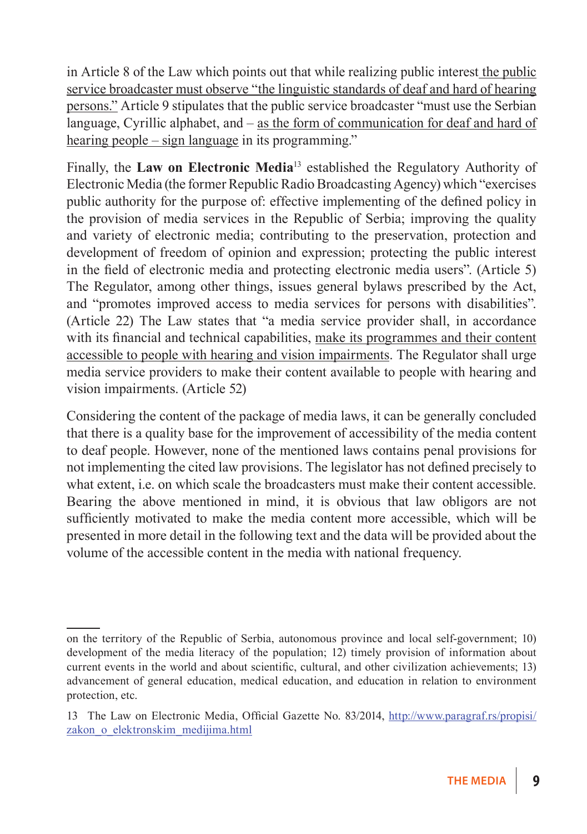in Article 8 of the Law which points out that while realizing public interest the public service broadcaster must observe "the linguistic standards of deaf and hard of hearing persons." Article 9 stipulates that the public service broadcaster "must use the Serbian language, Cyrillic alphabet, and – as the form of communication for deaf and hard of hearing people – sign language in its programming."

Finally, the **Law on Electronic Media**<sup>13</sup> established the Regulatory Authority of Electronic Media (the former Republic Radio Broadcasting Agency) which "exercises public authority for the purpose of: effective implementing of the defined policy in the provision of media services in the Republic of Serbia; improving the quality and variety of electronic media; contributing to the preservation, protection and development of freedom of opinion and expression; protecting the public interest in the field of electronic media and protecting electronic media users". (Article 5) The Regulator, among other things, issues general bylaws prescribed by the Act, and "promotes improved access to media services for persons with disabilities". (Article 22) The Law states that "a media service provider shall, in accordance with its financial and technical capabilities, make its programmes and their content accessible to people with hearing and vision impairments. The Regulator shall urge media service providers to make their content available to people with hearing and vision impairments. (Article 52)

Considering the content of the package of media laws, it can be generally concluded that there is a quality base for the improvement of accessibility of the media content to deaf people. However, none of the mentioned laws contains penal provisions for not implementing the cited law provisions. The legislator has not defined precisely to what extent, i.e. on which scale the broadcasters must make their content accessible. Bearing the above mentioned in mind, it is obvious that law obligors are not sufficiently motivated to make the media content more accessible, which will be presented in more detail in the following text and the data will be provided about the volume of the accessible content in the media with national frequency.

on the territory of the Republic of Serbia, autonomous province and local self-government; 10) development of the media literacy of the population; 12) timely provision of information about current events in the world and about scientific, cultural, and other civilization achievements; 13) advancement of general education, medical education, and education in relation to environment protection, etc.

<sup>13</sup> The Law on Electronic Media, Official Gazette No. 83/2014, http://www.paragraf.rs/propisi/ zakon\_o\_elektronskim\_medijima.html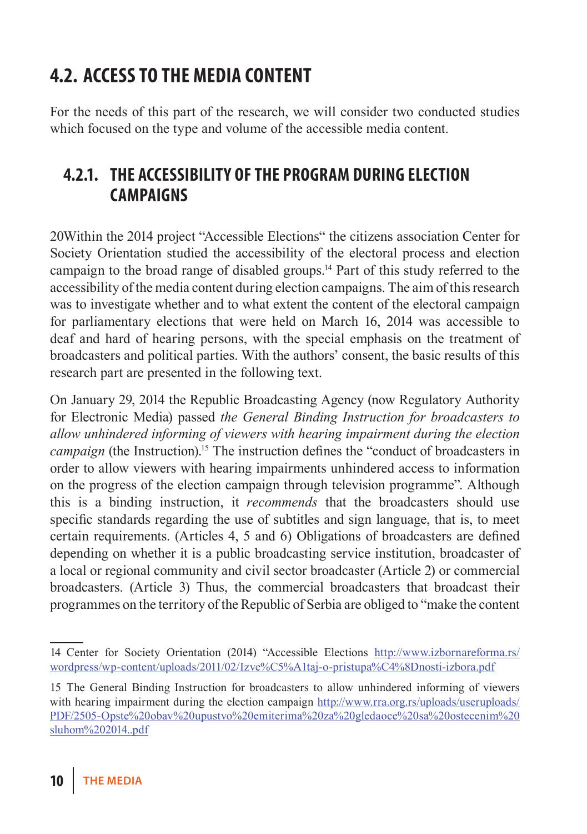# **4.2. Access to the media content**

For the needs of this part of the research, we will consider two conducted studies which focused on the type and volume of the accessible media content.

### **4.2.1. The accessibility of the program during election campaigns**

20Within the 2014 project "Accessible Elections" the citizens association Center for Society Orientation studied the accessibility of the electoral process and election campaign to the broad range of disabled groups.14 Part of this study referred to the accessibility of the media content during election campaigns. The aim of this research was to investigate whether and to what extent the content of the electoral campaign for parliamentary elections that were held on March 16, 2014 was accessible to deaf and hard of hearing persons, with the special emphasis on the treatment of broadcasters and political parties. With the authors' consent, the basic results of this research part are presented in the following text.

On January 29, 2014 the Republic Broadcasting Agency (now Regulatory Authority for Electronic Media) passed *the General Binding Instruction for broadcasters to allow unhindered informing of viewers with hearing impairment during the election campaign* (the Instruction).<sup>15</sup> The instruction defines the "conduct of broadcasters in order to allow viewers with hearing impairments unhindered access to information on the progress of the election campaign through television programme". Although this is a binding instruction, it *recommends* that the broadcasters should use specific standards regarding the use of subtitles and sign language, that is, to meet certain requirements. (Articles 4, 5 and 6) Obligations of broadcasters are defined depending on whether it is a public broadcasting service institution, broadcaster of a local or regional community and civil sector broadcaster (Article 2) or commercial broadcasters. (Article 3) Thus, the commercial broadcasters that broadcast their programmes on the territory of the Republic of Serbia are obliged to "make the content

<sup>14</sup> Center for Society Orientation (2014) "Accessible Elections http://www.izbornareforma.rs/ wordpress/wp-content/uploads/2011/02/Izve%C5%A1taj-o-pristupa%C4%8Dnosti-izbora.pdf

<sup>15</sup> The General Binding Instruction for broadcasters to allow unhindered informing of viewers with hearing impairment during the election campaign http://www.rra.org.rs/uploads/useruploads/ PDF/2505-Opste%20obav%20upustvo%20emiterima%20za%20gledaoce%20sa%20ostecenim%20 sluhom%202014..pdf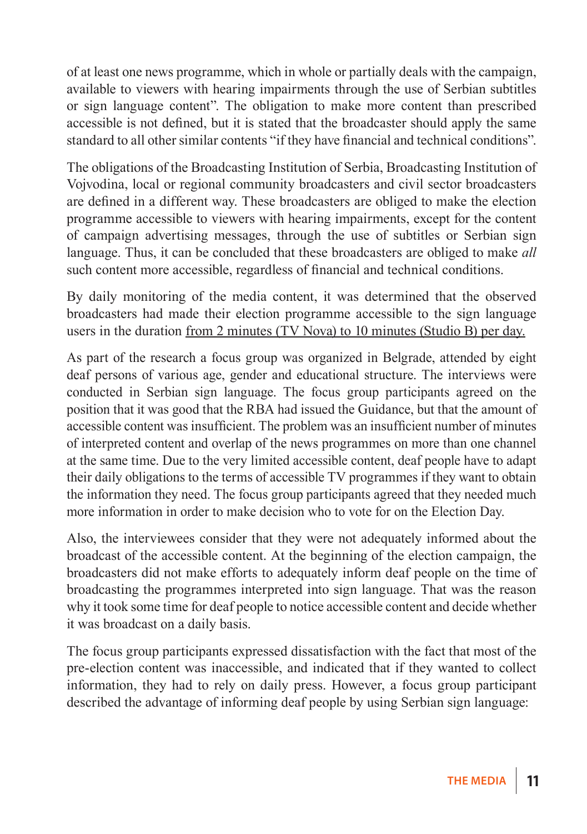of at least one news programme, which in whole or partially deals with the campaign, available to viewers with hearing impairments through the use of Serbian subtitles or sign language content". The obligation to make more content than prescribed accessible is not defined, but it is stated that the broadcaster should apply the same standard to all other similar contents "if they have financial and technical conditions".

The obligations of the Broadcasting Institution of Serbia, Broadcasting Institution of Vojvodina, local or regional community broadcasters and civil sector broadcasters are defined in a different way. These broadcasters are obliged to make the election programme accessible to viewers with hearing impairments, except for the content of campaign advertising messages, through the use of subtitles or Serbian sign language. Thus, it can be concluded that these broadcasters are obliged to make *all*  such content more accessible, regardless of financial and technical conditions.

By daily monitoring of the media content, it was determined that the observed broadcasters had made their election programme accessible to the sign language users in the duration from 2 minutes (TV Nova) to 10 minutes (Studio B) per day.

As part of the research a focus group was organized in Belgrade, attended by eight deaf persons of various age, gender and educational structure. The interviews were conducted in Serbian sign language. The focus group participants agreed on the position that it was good that the RBA had issued the Guidance, but that the amount of accessible content was insufficient. The problem was an insufficient number of minutes of interpreted content and overlap of the news programmes on more than one channel at the same time. Due to the very limited accessible content, deaf people have to adapt their daily obligations to the terms of accessible TV programmes if they want to obtain the information they need. The focus group participants agreed that they needed much more information in order to make decision who to vote for on the Election Day.

Also, the interviewees consider that they were not adequately informed about the broadcast of the accessible content. At the beginning of the election campaign, the broadcasters did not make efforts to adequately inform deaf people on the time of broadcasting the programmes interpreted into sign language. That was the reason why it took some time for deaf people to notice accessible content and decide whether it was broadcast on a daily basis.

The focus group participants expressed dissatisfaction with the fact that most of the pre-election content was inaccessible, and indicated that if they wanted to collect information, they had to rely on daily press. However, a focus group participant described the advantage of informing deaf people by using Serbian sign language: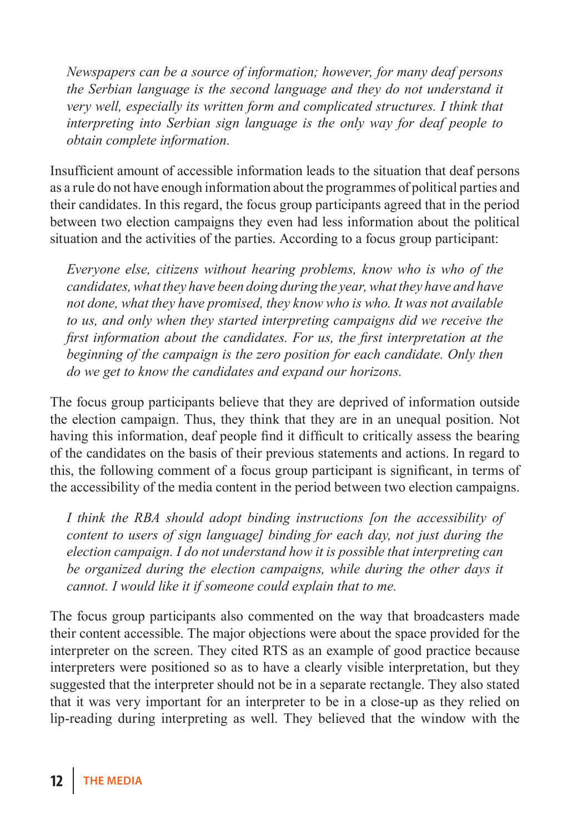*Newspapers can be a source of information; however, for many deaf persons the Serbian language is the second language and they do not understand it very well, especially its written form and complicated structures. I think that interpreting into Serbian sign language is the only way for deaf people to obtain complete information.*

Insufficient amount of accessible information leads to the situation that deaf persons as a rule do not have enough information about the programmes of political parties and their candidates. In this regard, the focus group participants agreed that in the period between two election campaigns they even had less information about the political situation and the activities of the parties. According to a focus group participant:

*Everyone else, citizens without hearing problems, know who is who of the candidates, what they have been doing during the year, what they have and have not done, what they have promised, they know who is who. It was not available to us, and only when they started interpreting campaigns did we receive the first information about the candidates. For us, the first interpretation at the beginning of the campaign is the zero position for each candidate. Only then do we get to know the candidates and expand our horizons.*

The focus group participants believe that they are deprived of information outside the election campaign. Thus, they think that they are in an unequal position. Not having this information, deaf people find it difficult to critically assess the bearing of the candidates on the basis of their previous statements and actions. In regard to this, the following comment of a focus group participant is significant, in terms of the accessibility of the media content in the period between two election campaigns.

*I think the RBA should adopt binding instructions [on the accessibility of content to users of sign language] binding for each day, not just during the election campaign. I do not understand how it is possible that interpreting can be organized during the election campaigns, while during the other days it cannot. I would like it if someone could explain that to me.*

The focus group participants also commented on the way that broadcasters made their content accessible. The major objections were about the space provided for the interpreter on the screen. They cited RTS as an example of good practice because interpreters were positioned so as to have a clearly visible interpretation, but they suggested that the interpreter should not be in a separate rectangle. They also stated that it was very important for an interpreter to be in a close-up as they relied on lip-reading during interpreting as well. They believed that the window with the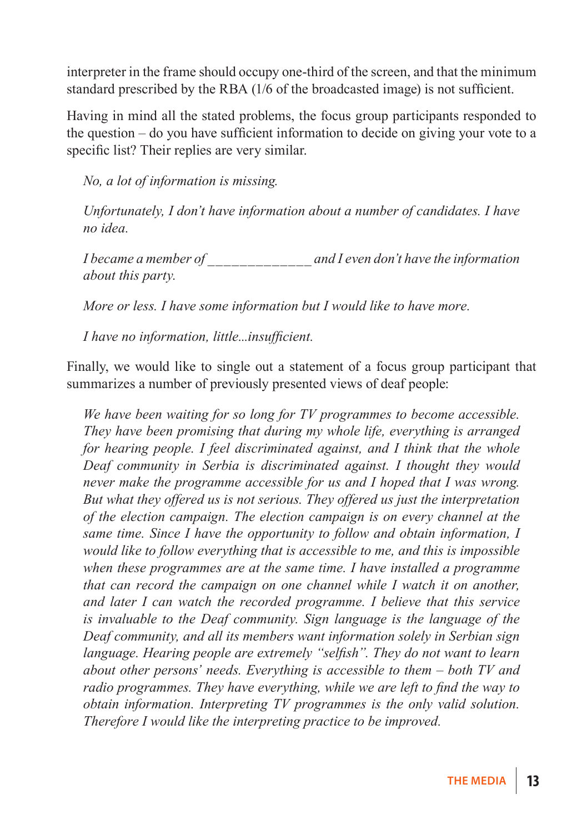interpreter in the frame should occupy one-third of the screen, and that the minimum standard prescribed by the RBA (1/6 of the broadcasted image) is not sufficient.

Having in mind all the stated problems, the focus group participants responded to the question – do you have sufficient information to decide on giving your vote to a specific list? Their replies are very similar.

*No, a lot of information is missing.*

*Unfortunately, I don't have information about a number of candidates. I have no idea.*

*I became a member of \_\_\_\_\_\_\_\_\_\_\_\_\_ and I even don't have the information about this party.*

*More or less. I have some information but I would like to have more.*

*I have no information, little...insufficient.*

Finally, we would like to single out a statement of a focus group participant that summarizes a number of previously presented views of deaf people:

*We have been waiting for so long for TV programmes to become accessible. They have been promising that during my whole life, everything is arranged for hearing people. I feel discriminated against, and I think that the whole Deaf community in Serbia is discriminated against. I thought they would never make the programme accessible for us and I hoped that I was wrong. But what they offered us is not serious. They offered us just the interpretation of the election campaign. The election campaign is on every channel at the same time. Since I have the opportunity to follow and obtain information, I would like to follow everything that is accessible to me, and this is impossible when these programmes are at the same time. I have installed a programme that can record the campaign on one channel while I watch it on another, and later I can watch the recorded programme. I believe that this service is invaluable to the Deaf community. Sign language is the language of the Deaf community, and all its members want information solely in Serbian sign language. Hearing people are extremely "selfish". They do not want to learn about other persons' needs. Everything is accessible to them – both TV and radio programmes. They have everything, while we are left to find the way to obtain information. Interpreting TV programmes is the only valid solution. Therefore I would like the interpreting practice to be improved.*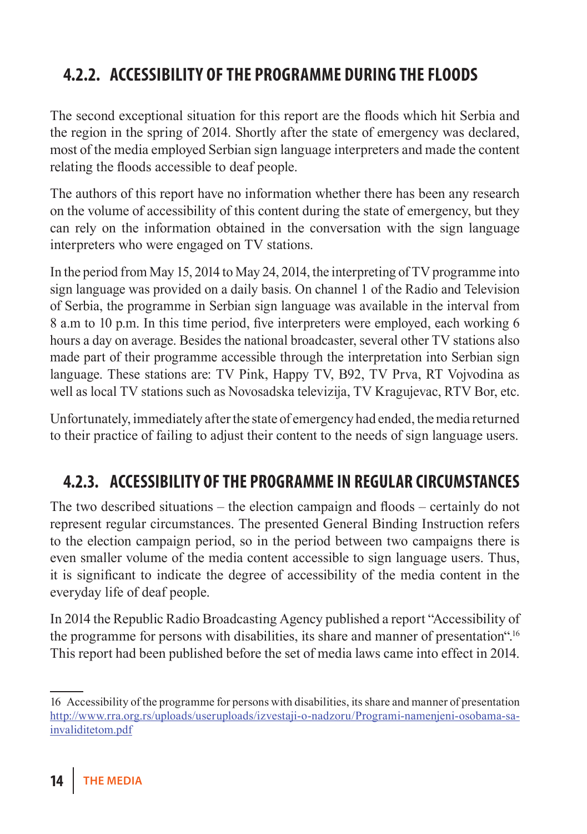## **4.2.2. Accessibility of the programme during the floods**

The second exceptional situation for this report are the floods which hit Serbia and the region in the spring of 2014. Shortly after the state of emergency was declared, most of the media employed Serbian sign language interpreters and made the content relating the floods accessible to deaf people.

The authors of this report have no information whether there has been any research on the volume of accessibility of this content during the state of emergency, but they can rely on the information obtained in the conversation with the sign language interpreters who were engaged on TV stations.

In the period from May 15, 2014 to May 24, 2014, the interpreting of TV programme into sign language was provided on a daily basis. On channel 1 of the Radio and Television of Serbia, the programme in Serbian sign language was available in the interval from 8 a.m to 10 p.m. In this time period, five interpreters were employed, each working 6 hours a day on average. Besides the national broadcaster, several other TV stations also made part of their programme accessible through the interpretation into Serbian sign language. These stations are: TV Pink, Happy TV, B92, TV Prva, RT Vojvodina as well as local TV stations such as Novosadska televizija, TV Kragujevac, RTV Bor, etc.

Unfortunately, immediately after the state of emergency had ended, the media returned to their practice of failing to adjust their content to the needs of sign language users.

### **4.2.3. Accessibility of the programme in regular circumstances**

The two described situations – the election campaign and floods – certainly do not represent regular circumstances. The presented General Binding Instruction refers to the election campaign period, so in the period between two campaigns there is even smaller volume of the media content accessible to sign language users. Thus, it is significant to indicate the degree of accessibility of the media content in the everyday life of deaf people.

In 2014 the Republic Radio Broadcasting Agency published a report "Accessibility of the programme for persons with disabilities, its share and manner of presentation".16 This report had been published before the set of media laws came into effect in 2014.

<sup>16</sup> Accessibility of the programme for persons with disabilities, its share and manner of presentation http://www.rra.org.rs/uploads/useruploads/izvestaji-o-nadzoru/Programi-namenjeni-osobama-sainvaliditetom.pdf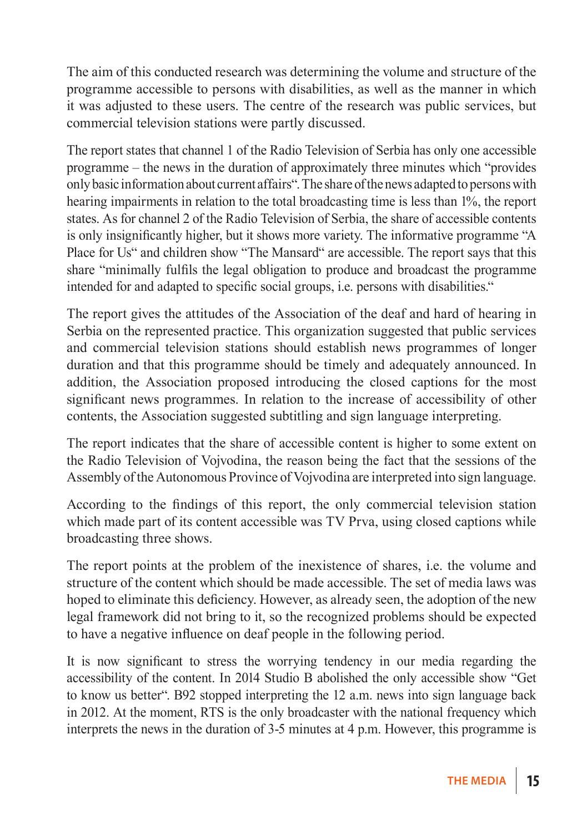The aim of this conducted research was determining the volume and structure of the programme accessible to persons with disabilities, as well as the manner in which it was adjusted to these users. The centre of the research was public services, but commercial television stations were partly discussed.

The report states that channel 1 of the Radio Television of Serbia has only one accessible programme – the news in the duration of approximately three minutes which "provides only basic information about current affairs". The share of the news adapted to persons with hearing impairments in relation to the total broadcasting time is less than 1%, the report states. As for channel 2 of the Radio Television of Serbia, the share of accessible contents is only insignificantly higher, but it shows more variety. The informative programme "A Place for Us" and children show "The Mansard" are accessible. The report says that this share "minimally fulfils the legal obligation to produce and broadcast the programme intended for and adapted to specific social groups, i.e. persons with disabilities."

The report gives the attitudes of the Association of the deaf and hard of hearing in Serbia on the represented practice. This organization suggested that public services and commercial television stations should establish news programmes of longer duration and that this programme should be timely and adequately announced. In addition, the Association proposed introducing the closed captions for the most significant news programmes. In relation to the increase of accessibility of other contents, the Association suggested subtitling and sign language interpreting.

The report indicates that the share of accessible content is higher to some extent on the Radio Television of Vojvodina, the reason being the fact that the sessions of the Assembly of the Autonomous Province of Vojvodina are interpreted into sign language.

According to the findings of this report, the only commercial television station which made part of its content accessible was TV Prva, using closed captions while broadcasting three shows.

The report points at the problem of the inexistence of shares, i.e. the volume and structure of the content which should be made accessible. The set of media laws was hoped to eliminate this deficiency. However, as already seen, the adoption of the new legal framework did not bring to it, so the recognized problems should be expected to have a negative influence on deaf people in the following period.

It is now significant to stress the worrying tendency in our media regarding the accessibility of the content. In 2014 Studio B abolished the only accessible show "Get to know us better". B92 stopped interpreting the 12 a.m. news into sign language back in 2012. At the moment, RTS is the only broadcaster with the national frequency which interprets the news in the duration of 3-5 minutes at 4 p.m. However, this programme is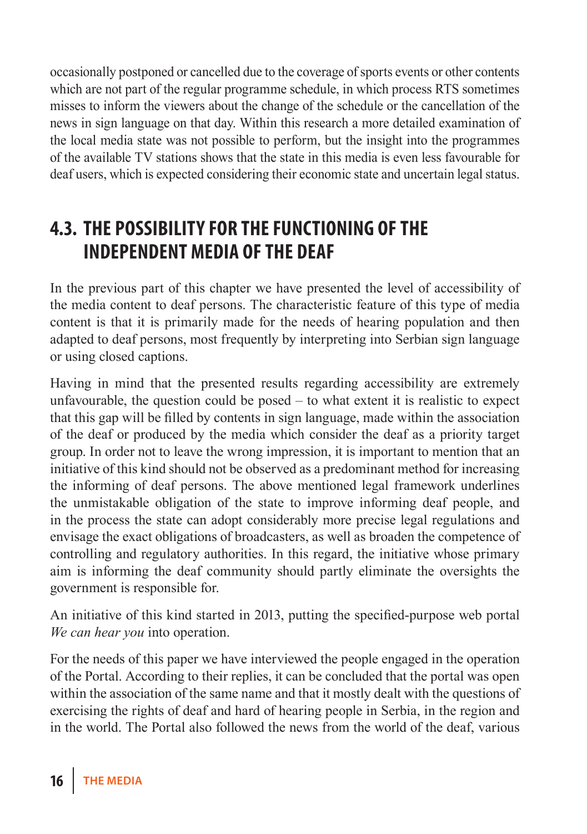occasionally postponed or cancelled due to the coverage of sports events or other contents which are not part of the regular programme schedule, in which process RTS sometimes misses to inform the viewers about the change of the schedule or the cancellation of the news in sign language on that day. Within this research a more detailed examination of the local media state was not possible to perform, but the insight into the programmes of the available TV stations shows that the state in this media is even less favourable for deaf users, which is expected considering their economic state and uncertain legal status.

### **4.3. The possibility for the functioning of the INDEPENDENT MEDIA OF THE DEAF**

In the previous part of this chapter we have presented the level of accessibility of the media content to deaf persons. The characteristic feature of this type of media content is that it is primarily made for the needs of hearing population and then adapted to deaf persons, most frequently by interpreting into Serbian sign language or using closed captions.

Having in mind that the presented results regarding accessibility are extremely unfavourable, the question could be posed – to what extent it is realistic to expect that this gap will be filled by contents in sign language, made within the association of the deaf or produced by the media which consider the deaf as a priority target group. In order not to leave the wrong impression, it is important to mention that an initiative of this kind should not be observed as a predominant method for increasing the informing of deaf persons. The above mentioned legal framework underlines the unmistakable obligation of the state to improve informing deaf people, and in the process the state can adopt considerably more precise legal regulations and envisage the exact obligations of broadcasters, as well as broaden the competence of controlling and regulatory authorities. In this regard, the initiative whose primary aim is informing the deaf community should partly eliminate the oversights the government is responsible for.

An initiative of this kind started in 2013, putting the specified-purpose web portal *We can hear you* into operation.

For the needs of this paper we have interviewed the people engaged in the operation of the Portal. According to their replies, it can be concluded that the portal was open within the association of the same name and that it mostly dealt with the questions of exercising the rights of deaf and hard of hearing people in Serbia, in the region and in the world. The Portal also followed the news from the world of the deaf, various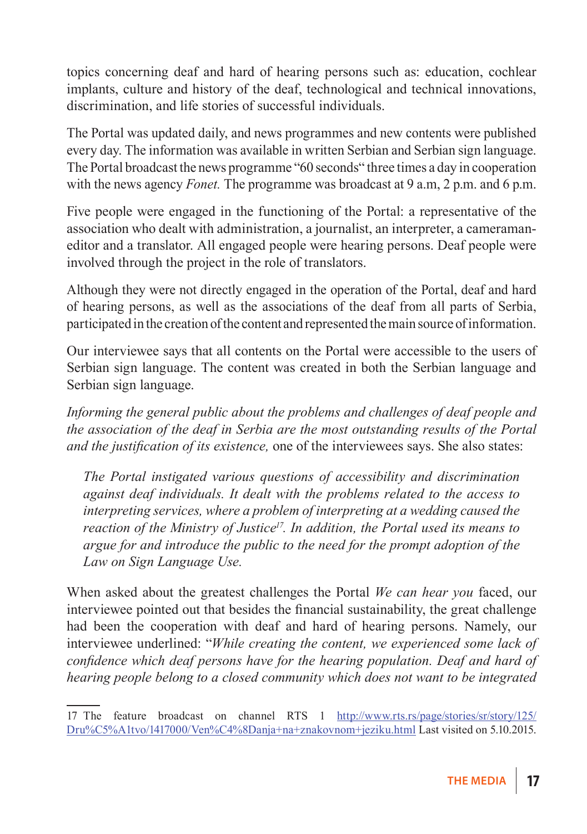topics concerning deaf and hard of hearing persons such as: education, cochlear implants, culture and history of the deaf, technological and technical innovations, discrimination, and life stories of successful individuals.

The Portal was updated daily, and news programmes and new contents were published every day. The information was available in written Serbian and Serbian sign language. The Portal broadcast the news programme "60 seconds" three times a day in cooperation with the news agency *Fonet.* The programme was broadcast at 9 a.m, 2 p.m. and 6 p.m.

Five people were engaged in the functioning of the Portal: a representative of the association who dealt with administration, a journalist, an interpreter, a cameramaneditor and a translator. All engaged people were hearing persons. Deaf people were involved through the project in the role of translators.

Although they were not directly engaged in the operation of the Portal, deaf and hard of hearing persons, as well as the associations of the deaf from all parts of Serbia, participated in the creation of the content and represented the main source of information.

Our interviewee says that all contents on the Portal were accessible to the users of Serbian sign language. The content was created in both the Serbian language and Serbian sign language.

*Informing the general public about the problems and challenges of deaf people and the association of the deaf in Serbia are the most outstanding results of the Portal and the justification of its existence,* one of the interviewees says. She also states:

*The Portal instigated various questions of accessibility and discrimination against deaf individuals. It dealt with the problems related to the access to interpreting services, where a problem of interpreting at a wedding caused the reaction of the Ministry of Justice<sup>17</sup>. In addition, the Portal used its means to argue for and introduce the public to the need for the prompt adoption of the Law on Sign Language Use.*

When asked about the greatest challenges the Portal *We can hear you* faced, our interviewee pointed out that besides the financial sustainability, the great challenge had been the cooperation with deaf and hard of hearing persons. Namely, our interviewee underlined: "*While creating the content, we experienced some lack of confidence which deaf persons have for the hearing population. Deaf and hard of hearing people belong to a closed community which does not want to be integrated* 

<sup>17</sup> The feature broadcast on channel RTS 1 http://www.rts.rs/page/stories/sr/story/125/ Dru%C5%A1tvo/1417000/Ven%C4%8Danja+na+znakovnom+jeziku.html Last visited on 5.10.2015.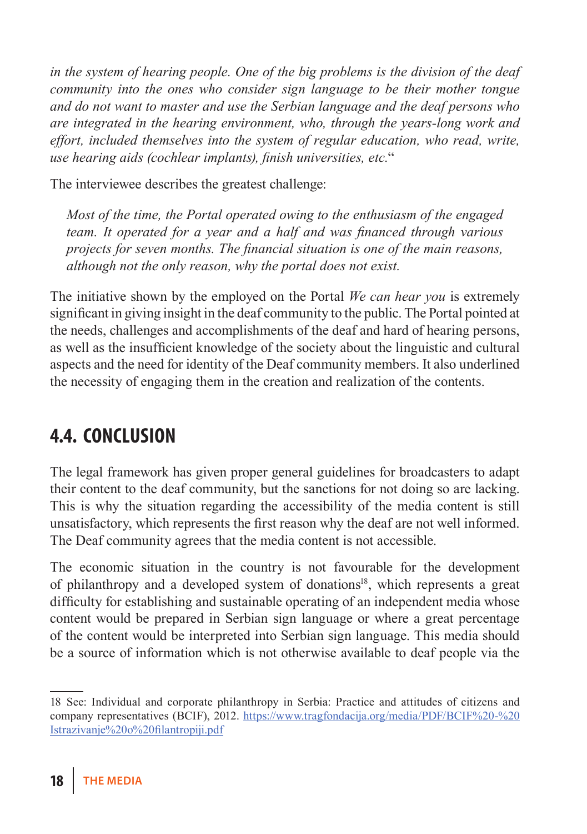*in the system of hearing people. One of the big problems is the division of the deaf community into the ones who consider sign language to be their mother tongue and do not want to master and use the Serbian language and the deaf persons who are integrated in the hearing environment, who, through the years-long work and effort, included themselves into the system of regular education, who read, write, use hearing aids (cochlear implants), finish universities, etc.*"

The interviewee describes the greatest challenge:

*Most of the time, the Portal operated owing to the enthusiasm of the engaged team. It operated for a year and a half and was financed through various projects for seven months. The financial situation is one of the main reasons, although not the only reason, why the portal does not exist.*

The initiative shown by the employed on the Portal *We can hear you* is extremely significant in giving insight in the deaf community to the public. The Portal pointed at the needs, challenges and accomplishments of the deaf and hard of hearing persons, as well as the insufficient knowledge of the society about the linguistic and cultural aspects and the need for identity of the Deaf community members. It also underlined the necessity of engaging them in the creation and realization of the contents.

# **4.4. Conclusion**

The legal framework has given proper general guidelines for broadcasters to adapt their content to the deaf community, but the sanctions for not doing so are lacking. This is why the situation regarding the accessibility of the media content is still unsatisfactory, which represents the first reason why the deaf are not well informed. The Deaf community agrees that the media content is not accessible.

The economic situation in the country is not favourable for the development of philanthropy and a developed system of donations<sup>18</sup>, which represents a great difficulty for establishing and sustainable operating of an independent media whose content would be prepared in Serbian sign language or where a great percentage of the content would be interpreted into Serbian sign language. This media should be a source of information which is not otherwise available to deaf people via the

<sup>18</sup> See: Individual and corporate philanthropy in Serbia: Practice and attitudes of citizens and company representatives (BCIF), 2012. https://www.tragfondacija.org/media/PDF/BCIF%20-%20 Istrazivanje%20o%20filantropiji.pdf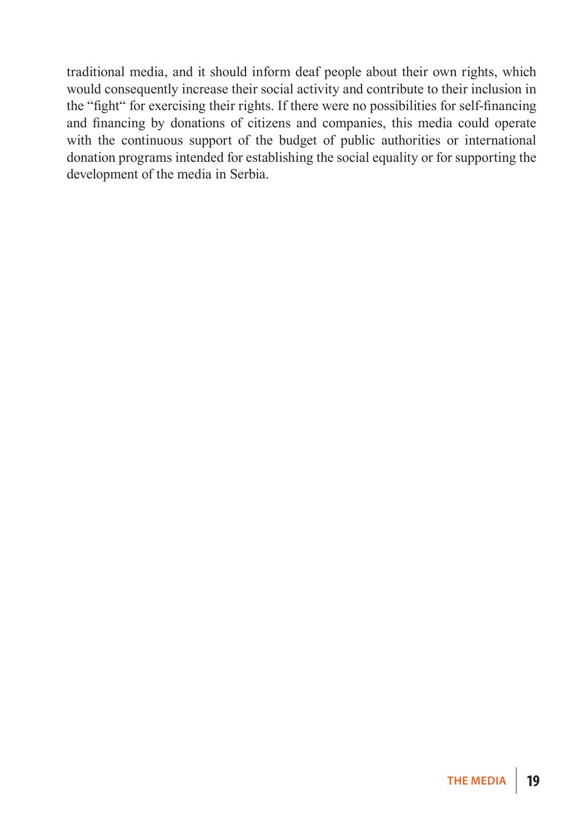traditional media, and it should inform deaf people about their own rights, which would consequently increase their social activity and contribute to their inclusion in the "fight" for exercising their rights. If there were no possibilities for self-financing and financing by donations of citizens and companies, this media could operate with the continuous support of the budget of public authorities or international donation programs intended for establishing the social equality or for supporting the development of the media in Serbia.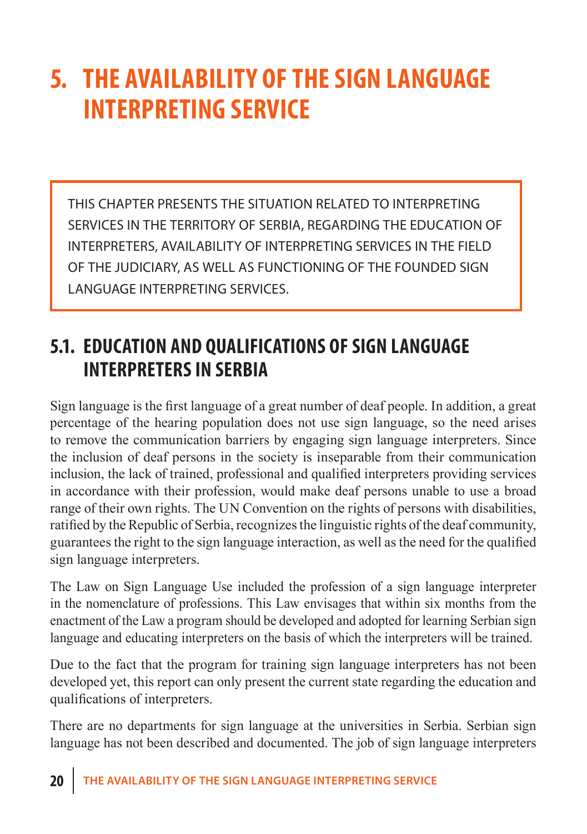# **5. The availability of the sign language interpreting service**

This chapter presents the situation related to interpreting services in the territory of Serbia, regarding the education of interpreters, availability of interpreting services in the field of the judiciary, as well as functioning of the founded sign language interpreting services.

## **5.1. Education and qualifications of sign language interpreters in Serbia**

Sign language is the first language of a great number of deaf people. In addition, a great percentage of the hearing population does not use sign language, so the need arises to remove the communication barriers by engaging sign language interpreters. Since the inclusion of deaf persons in the society is inseparable from their communication inclusion, the lack of trained, professional and qualified interpreters providing services in accordance with their profession, would make deaf persons unable to use a broad range of their own rights. The UN Convention on the rights of persons with disabilities, ratified by the Republic of Serbia, recognizes the linguistic rights of the deaf community, guarantees the right to the sign language interaction, as well as the need for the qualified sign language interpreters.

The Law on Sign Language Use included the profession of a sign language interpreter in the nomenclature of professions. This Law envisages that within six months from the enactment of the Law a program should be developed and adopted for learning Serbian sign language and educating interpreters on the basis of which the interpreters will be trained.

Due to the fact that the program for training sign language interpreters has not been developed yet, this report can only present the current state regarding the education and qualifications of interpreters.

There are no departments for sign language at the universities in Serbia. Serbian sign language has not been described and documented. The job of sign language interpreters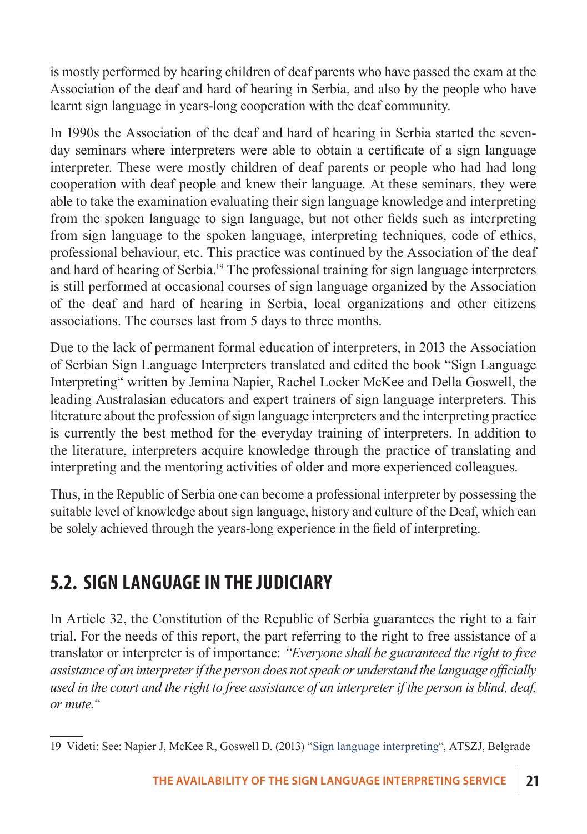is mostly performed by hearing children of deaf parents who have passed the exam at the Association of the deaf and hard of hearing in Serbia, and also by the people who have learnt sign language in years-long cooperation with the deaf community.

In 1990s the Association of the deaf and hard of hearing in Serbia started the sevenday seminars where interpreters were able to obtain a certificate of a sign language interpreter. These were mostly children of deaf parents or people who had had long cooperation with deaf people and knew their language. At these seminars, they were able to take the examination evaluating their sign language knowledge and interpreting from the spoken language to sign language, but not other fields such as interpreting from sign language to the spoken language, interpreting techniques, code of ethics, professional behaviour, etc. This practice was continued by the Association of the deaf and hard of hearing of Serbia.19 The professional training for sign language interpreters is still performed at occasional courses of sign language organized by the Association of the deaf and hard of hearing in Serbia, local organizations and other citizens associations. The courses last from 5 days to three months.

Due to the lack of permanent formal education of interpreters, in 2013 the Association of Serbian Sign Language Interpreters translated and edited the book "Sign Language Interpreting" written by Jemina Napier, Rachel Locker McKee and Della Goswell, the leading Australasian educators and expert trainers of sign language interpreters. This literature about the profession of sign language interpreters and the interpreting practice is currently the best method for the everyday training of interpreters. In addition to the literature, interpreters acquire knowledge through the practice of translating and interpreting and the mentoring activities of older and more experienced colleagues.

Thus, in the Republic of Serbia one can become a professional interpreter by possessing the suitable level of knowledge about sign language, history and culture of the Deaf, which can be solely achieved through the years-long experience in the field of interpreting.

# **5.2. Sign language in the judiciary**

In Article 32, the Constitution of the Republic of Serbia guarantees the right to a fair trial. For the needs of this report, the part referring to the right to free assistance of a translator or interpreter is of importance: *"Everyone shall be guaranteed the right to free assistance of an interpreter if the person does not speak or understand the language officially used in the court and the right to free assistance of an interpreter if the person is blind, deaf, or mute."*

<sup>19</sup> Videti: See: Napier J, McKee R, Goswell D. (2013) "Sign language interpreting", ATSZJ, Belgrade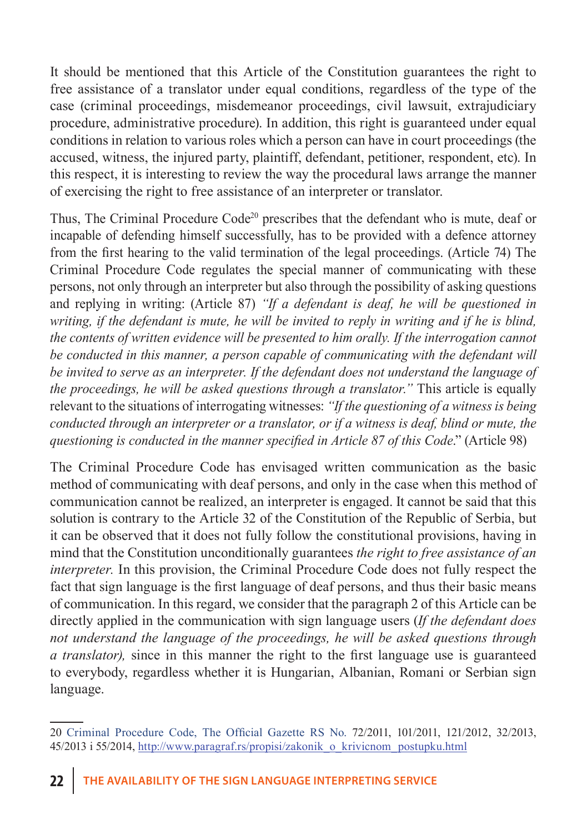It should be mentioned that this Article of the Constitution guarantees the right to free assistance of a translator under equal conditions, regardless of the type of the case (criminal proceedings, misdemeanor proceedings, civil lawsuit, extrajudiciary procedure, administrative procedure). In addition, this right is guaranteed under equal conditions in relation to various roles which a person can have in court proceedings (the accused, witness, the injured party, plaintiff, defendant, petitioner, respondent, etc). In this respect, it is interesting to review the way the procedural laws arrange the manner of exercising the right to free assistance of an interpreter or translator.

Thus, The Criminal Procedure Code<sup>20</sup> prescribes that the defendant who is mute, deaf or incapable of defending himself successfully, has to be provided with a defence attorney from the first hearing to the valid termination of the legal proceedings. (Article 74) The Criminal Procedure Code regulates the special manner of communicating with these persons, not only through an interpreter but also through the possibility of asking questions and replying in writing: (Article 87) *"If a defendant is deaf, he will be questioned in writing, if the defendant is mute, he will be invited to reply in writing and if he is blind, the contents of written evidence will be presented to him orally. If the interrogation cannot be conducted in this manner, a person capable of communicating with the defendant will be invited to serve as an interpreter. If the defendant does not understand the language of the proceedings, he will be asked questions through a translator."* This article is equally relevant to the situations of interrogating witnesses: *"If the questioning of a witness is being conducted through an interpreter or a translator, or if a witness is deaf, blind or mute, the questioning is conducted in the manner specified in Article 87 of this Code*." (Article 98)

The Criminal Procedure Code has envisaged written communication as the basic method of communicating with deaf persons, and only in the case when this method of communication cannot be realized, an interpreter is engaged. It cannot be said that this solution is contrary to the Article 32 of the Constitution of the Republic of Serbia, but it can be observed that it does not fully follow the constitutional provisions, having in mind that the Constitution unconditionally guarantees *the right to free assistance of an interpreter*. In this provision, the Criminal Procedure Code does not fully respect the fact that sign language is the first language of deaf persons, and thus their basic means of communication. In this regard, we consider that the paragraph 2 of this Article can be directly applied in the communication with sign language users (*If the defendant does not understand the language of the proceedings, he will be asked questions through a translator),* since in this manner the right to the first language use is guaranteed to everybody, regardless whether it is Hungarian, Albanian, Romani or Serbian sign language.

<sup>20</sup> Criminal Procedure Code, The Official Gazette RS No. 72/2011, 101/2011, 121/2012, 32/2013, 45/2013 i 55/2014, http://www.paragraf.rs/propisi/zakonik\_o\_krivicnom\_postupku.html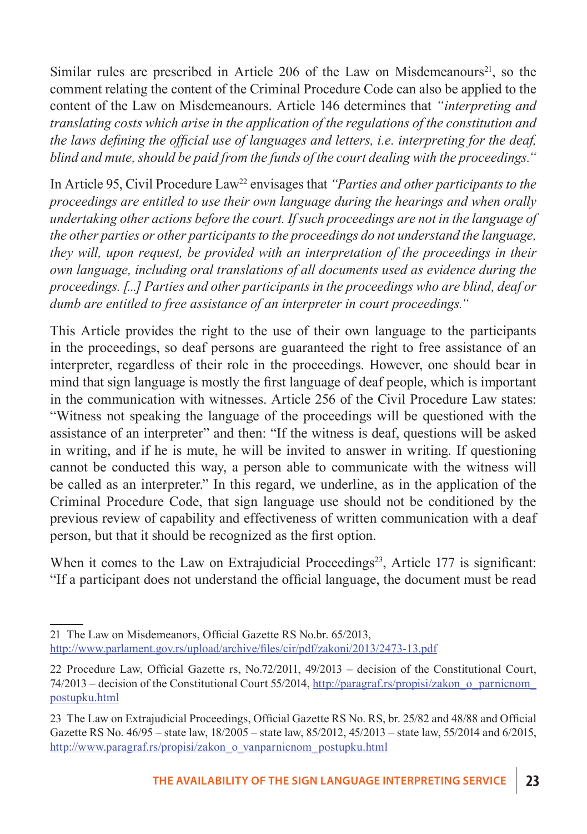Similar rules are prescribed in Article 206 of the Law on Misdemeanours<sup>21</sup>, so the comment relating the content of the Criminal Procedure Code can also be applied to the content of the Law on Misdemeanours. Article 146 determines that *"interpreting and translating costs which arise in the application of the regulations of the constitution and the laws defining the official use of languages and letters, i.e. interpreting for the deaf, blind and mute, should be paid from the funds of the court dealing with the proceedings."*

In Article 95, Civil Procedure Law<sup>22</sup> envisages that *"Parties and other participants to the proceedings are entitled to use their own language during the hearings and when orally undertaking other actions before the court. If such proceedings are not in the language of the other parties or other participants to the proceedings do not understand the language, they will, upon request, be provided with an interpretation of the proceedings in their own language, including oral translations of all documents used as evidence during the proceedings. [...] Parties and other participants in the proceedings who are blind, deaf or dumb are entitled to free assistance of an interpreter in court proceedings."*

This Article provides the right to the use of their own language to the participants in the proceedings, so deaf persons are guaranteed the right to free assistance of an interpreter, regardless of their role in the proceedings. However, one should bear in mind that sign language is mostly the first language of deaf people, which is important in the communication with witnesses. Article 256 of the Civil Procedure Law states: "Witness not speaking the language of the proceedings will be questioned with the assistance of an interpreter" and then: "If the witness is deaf, questions will be asked in writing, and if he is mute, he will be invited to answer in writing. If questioning cannot be conducted this way, a person able to communicate with the witness will be called as an interpreter." In this regard, we underline, as in the application of the Criminal Procedure Code, that sign language use should not be conditioned by the previous review of capability and effectiveness of written communication with a deaf person, but that it should be recognized as the first option.

When it comes to the Law on Extrajudicial Proceedings<sup>23</sup>, Article 177 is significant: "If a participant does not understand the official language, the document must be read

<sup>21</sup> The Law on Misdemeanors, Official Gazette RS No.br. 65/2013, http://www.parlament.gov.rs/upload/archive/files/cir/pdf/zakoni/2013/2473-13.pdf

<sup>22</sup> Procedure Law, Official Gazette rs, No.72/2011, 49/2013 – decision of the Constitutional Court, 74/2013 – decision of the Constitutional Court 55/2014, http://paragraf.rs/propisi/zakon\_o\_parnicnom\_ postupku.html

<sup>23</sup> The Law on Extrajudicial Proceedings, Official Gazette RS No. RS, br. 25/82 and 48/88 and Official Gazette RS No. 46/95 – state law, 18/2005 – state law, 85/2012, 45/2013 – state law, 55/2014 and 6/2015, http://www.paragraf.rs/propisi/zakon\_o\_vanparnicnom\_postupku.html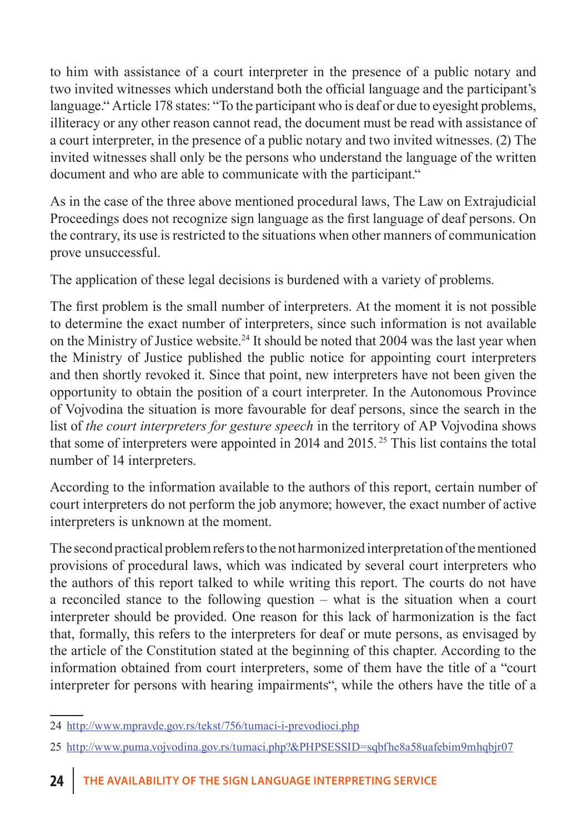to him with assistance of a court interpreter in the presence of a public notary and two invited witnesses which understand both the official language and the participant's language." Article 178 states: "To the participant who is deaf or due to eyesight problems, illiteracy or any other reason cannot read, the document must be read with assistance of a court interpreter, in the presence of a public notary and two invited witnesses. (2) The invited witnesses shall only be the persons who understand the language of the written document and who are able to communicate with the participant."

As in the case of the three above mentioned procedural laws, The Law on Extrajudicial Proceedings does not recognize sign language as the first language of deaf persons. On the contrary, its use is restricted to the situations when other manners of communication prove unsuccessful.

The application of these legal decisions is burdened with a variety of problems.

The first problem is the small number of interpreters. At the moment it is not possible to determine the exact number of interpreters, since such information is not available on the Ministry of Justice website.<sup>24</sup> It should be noted that  $2004$  was the last year when the Ministry of Justice published the public notice for appointing court interpreters and then shortly revoked it. Since that point, new interpreters have not been given the opportunity to obtain the position of a court interpreter. In the Autonomous Province of Vojvodina the situation is more favourable for deaf persons, since the search in the list of *the court interpreters for gesture speech* in the territory of AP Vojvodina shows that some of interpreters were appointed in 2014 and 2015. 25 This list contains the total number of 14 interpreters.

According to the information available to the authors of this report, certain number of court interpreters do not perform the job anymore; however, the exact number of active interpreters is unknown at the moment.

The second practical problem refers to the not harmonized interpretation of the mentioned provisions of procedural laws, which was indicated by several court interpreters who the authors of this report talked to while writing this report. The courts do not have a reconciled stance to the following question – what is the situation when a court interpreter should be provided. One reason for this lack of harmonization is the fact that, formally, this refers to the interpreters for deaf or mute persons, as envisaged by the article of the Constitution stated at the beginning of this chapter. According to the information obtained from court interpreters, some of them have the title of a "court interpreter for persons with hearing impairments", while the others have the title of a

<sup>24</sup> http://www.mpravde.gov.rs/tekst/756/tumaci-i-prevodioci.php

<sup>25</sup> http://www.puma.vojvodina.gov.rs/tumaci.php?&PHPSESSID=sqbfhe8a58uafebim9mhqbjr07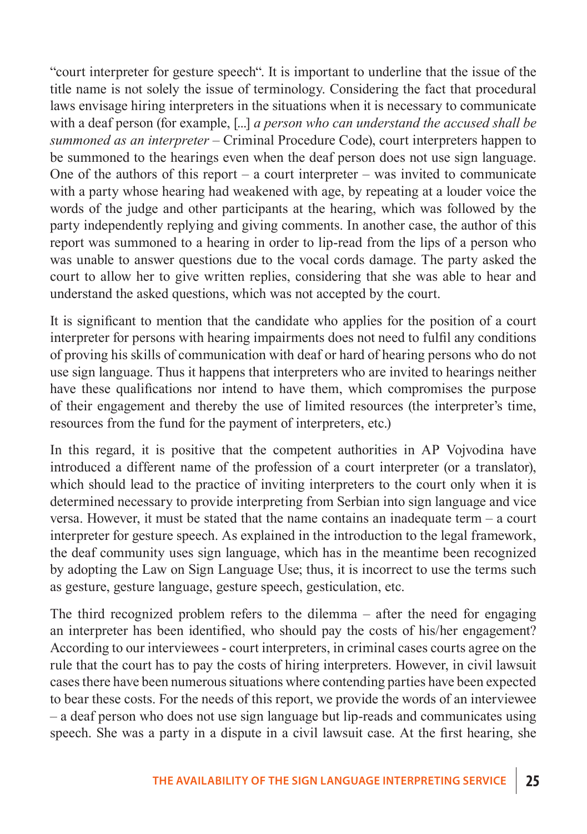"court interpreter for gesture speech". It is important to underline that the issue of the title name is not solely the issue of terminology. Considering the fact that procedural laws envisage hiring interpreters in the situations when it is necessary to communicate with a deaf person (for example, [...] *a person who can understand the accused shall be summoned as an interpreter –* Criminal Procedure Code), court interpreters happen to be summoned to the hearings even when the deaf person does not use sign language. One of the authors of this report – a court interpreter – was invited to communicate with a party whose hearing had weakened with age, by repeating at a louder voice the words of the judge and other participants at the hearing, which was followed by the party independently replying and giving comments. In another case, the author of this report was summoned to a hearing in order to lip-read from the lips of a person who was unable to answer questions due to the vocal cords damage. The party asked the court to allow her to give written replies, considering that she was able to hear and understand the asked questions, which was not accepted by the court.

It is significant to mention that the candidate who applies for the position of a court interpreter for persons with hearing impairments does not need to fulfil any conditions of proving his skills of communication with deaf or hard of hearing persons who do not use sign language. Thus it happens that interpreters who are invited to hearings neither have these qualifications nor intend to have them, which compromises the purpose of their engagement and thereby the use of limited resources (the interpreter's time, resources from the fund for the payment of interpreters, etc.)

In this regard, it is positive that the competent authorities in AP Vojvodina have introduced a different name of the profession of a court interpreter (or a translator), which should lead to the practice of inviting interpreters to the court only when it is determined necessary to provide interpreting from Serbian into sign language and vice versa. However, it must be stated that the name contains an inadequate term – a court interpreter for gesture speech. As explained in the introduction to the legal framework, the deaf community uses sign language, which has in the meantime been recognized by adopting the Law on Sign Language Use; thus, it is incorrect to use the terms such as gesture, gesture language, gesture speech, gesticulation, etc.

The third recognized problem refers to the dilemma – after the need for engaging an interpreter has been identified, who should pay the costs of his/her engagement? According to our interviewees - court interpreters, in criminal cases courts agree on the rule that the court has to pay the costs of hiring interpreters. However, in civil lawsuit cases there have been numerous situations where contending parties have been expected to bear these costs. For the needs of this report, we provide the words of an interviewee – a deaf person who does not use sign language but lip-reads and communicates using speech. She was a party in a dispute in a civil lawsuit case. At the first hearing, she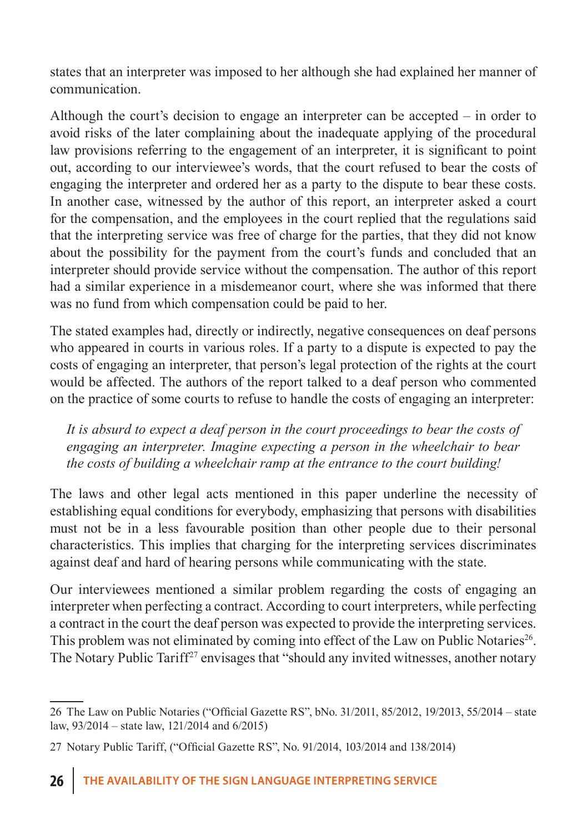states that an interpreter was imposed to her although she had explained her manner of communication.

Although the court's decision to engage an interpreter can be accepted – in order to avoid risks of the later complaining about the inadequate applying of the procedural law provisions referring to the engagement of an interpreter, it is significant to point out, according to our interviewee's words, that the court refused to bear the costs of engaging the interpreter and ordered her as a party to the dispute to bear these costs. In another case, witnessed by the author of this report, an interpreter asked a court for the compensation, and the employees in the court replied that the regulations said that the interpreting service was free of charge for the parties, that they did not know about the possibility for the payment from the court's funds and concluded that an interpreter should provide service without the compensation. The author of this report had a similar experience in a misdemeanor court, where she was informed that there was no fund from which compensation could be paid to her.

The stated examples had, directly or indirectly, negative consequences on deaf persons who appeared in courts in various roles. If a party to a dispute is expected to pay the costs of engaging an interpreter, that person's legal protection of the rights at the court would be affected. The authors of the report talked to a deaf person who commented on the practice of some courts to refuse to handle the costs of engaging an interpreter:

*It is absurd to expect a deaf person in the court proceedings to bear the costs of engaging an interpreter. Imagine expecting a person in the wheelchair to bear the costs of building a wheelchair ramp at the entrance to the court building!*

The laws and other legal acts mentioned in this paper underline the necessity of establishing equal conditions for everybody, emphasizing that persons with disabilities must not be in a less favourable position than other people due to their personal characteristics. This implies that charging for the interpreting services discriminates against deaf and hard of hearing persons while communicating with the state.

Our interviewees mentioned a similar problem regarding the costs of engaging an interpreter when perfecting a contract. According to court interpreters, while perfecting a contract in the court the deaf person was expected to provide the interpreting services. This problem was not eliminated by coming into effect of the Law on Public Notaries<sup>26</sup>. The Notary Public Tariff<sup>27</sup> envisages that "should any invited witnesses, another notary

<sup>26</sup> The Law on Public Notaries ("Official Gazette RS", bNo. 31/2011, 85/2012, 19/2013, 55/2014 – state law, 93/2014 – state law, 121/2014 and 6/2015)

<sup>27</sup> Notary Public Tariff, ("Official Gazette RS", No. 91/2014, 103/2014 and 138/2014)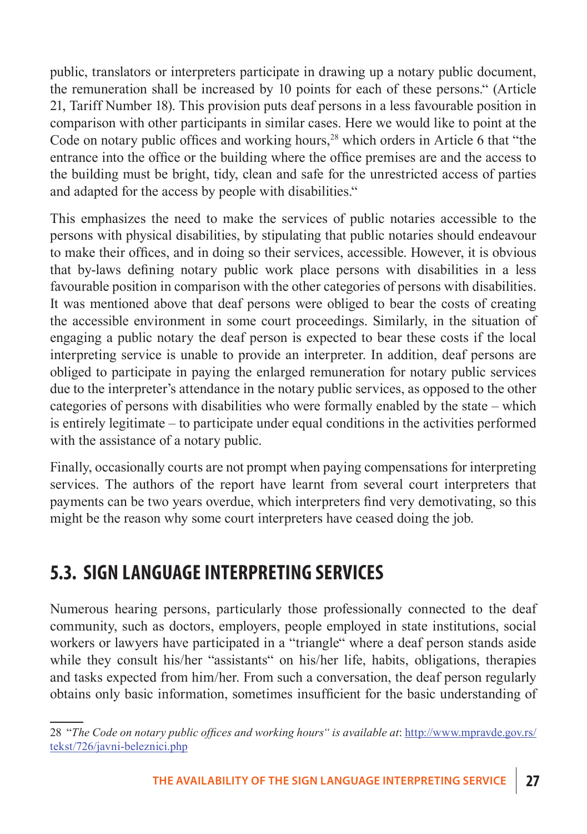public, translators or interpreters participate in drawing up a notary public document, the remuneration shall be increased by 10 points for each of these persons." (Article 21, Tariff Number 18). This provision puts deaf persons in a less favourable position in comparison with other participants in similar cases. Here we would like to point at the Code on notary public offices and working hours,<sup>28</sup> which orders in Article 6 that "the entrance into the office or the building where the office premises are and the access to the building must be bright, tidy, clean and safe for the unrestricted access of parties and adapted for the access by people with disabilities."

This emphasizes the need to make the services of public notaries accessible to the persons with physical disabilities, by stipulating that public notaries should endeavour to make their offices, and in doing so their services, accessible. However, it is obvious that by-laws defining notary public work place persons with disabilities in a less favourable position in comparison with the other categories of persons with disabilities. It was mentioned above that deaf persons were obliged to bear the costs of creating the accessible environment in some court proceedings. Similarly, in the situation of engaging a public notary the deaf person is expected to bear these costs if the local interpreting service is unable to provide an interpreter. In addition, deaf persons are obliged to participate in paying the enlarged remuneration for notary public services due to the interpreter's attendance in the notary public services, as opposed to the other categories of persons with disabilities who were formally enabled by the state – which is entirely legitimate – to participate under equal conditions in the activities performed with the assistance of a notary public.

Finally, occasionally courts are not prompt when paying compensations for interpreting services. The authors of the report have learnt from several court interpreters that payments can be two years overdue, which interpreters find very demotivating, so this might be the reason why some court interpreters have ceased doing the job.

## **5.3. Sign language interpreting services**

Numerous hearing persons, particularly those professionally connected to the deaf community, such as doctors, employers, people employed in state institutions, social workers or lawyers have participated in a "triangle" where a deaf person stands aside while they consult his/her "assistants" on his/her life, habits, obligations, therapies and tasks expected from him/her. From such a conversation, the deaf person regularly obtains only basic information, sometimes insufficient for the basic understanding of

<sup>28</sup> "*The Code on notary public offices and working hours" is available at*: http://www.mpravde.gov.rs/ tekst/726/javni-beleznici.php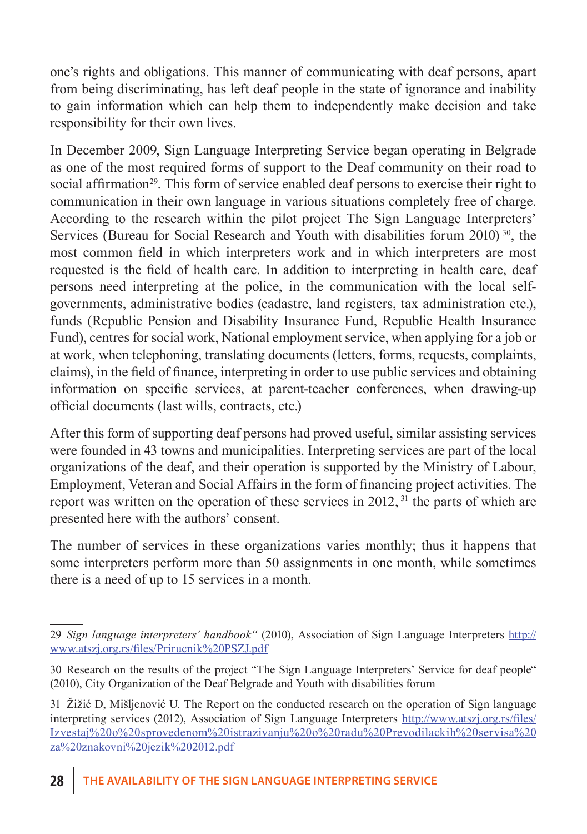one's rights and obligations. This manner of communicating with deaf persons, apart from being discriminating, has left deaf people in the state of ignorance and inability to gain information which can help them to independently make decision and take responsibility for their own lives.

In December 2009, Sign Language Interpreting Service began operating in Belgrade as one of the most required forms of support to the Deaf community on their road to social affirmation<sup>29</sup>. This form of service enabled deaf persons to exercise their right to communication in their own language in various situations completely free of charge. According to the research within the pilot project The Sign Language Interpreters' Services (Bureau for Social Research and Youth with disabilities forum 2010)<sup>30</sup>, the most common field in which interpreters work and in which interpreters are most requested is the field of health care. In addition to interpreting in health care, deaf persons need interpreting at the police, in the communication with the local selfgovernments, administrative bodies (cadastre, land registers, tax administration etc.), funds (Republic Pension and Disability Insurance Fund, Republic Health Insurance Fund), centres for social work, National employment service, when applying for a job or at work, when telephoning, translating documents (letters, forms, requests, complaints, claims), in the field of finance, interpreting in order to use public services and obtaining information on specific services, at parent-teacher conferences, when drawing-up official documents (last wills, contracts, etc.)

After this form of supporting deaf persons had proved useful, similar assisting services were founded in 43 towns and municipalities. Interpreting services are part of the local organizations of the deaf, and their operation is supported by the Ministry of Labour, Employment, Veteran and Social Affairs in the form of financing project activities. The report was written on the operation of these services in 2012, <sup>31</sup> the parts of which are presented here with the authors' consent.

The number of services in these organizations varies monthly; thus it happens that some interpreters perform more than 50 assignments in one month, while sometimes there is a need of up to 15 services in a month.

<sup>29</sup> *Sign language interpreters' handbook"* (2010), Association of Sign Language Interpreters http:// www.atszj.org.rs/files/Prirucnik%20PSZJ.pdf

<sup>30</sup> Research on the results of the project "The Sign Language Interpreters' Service for deaf people" (2010), City Organization of the Deaf Belgrade and Youth with disabilities forum

<sup>31</sup> Žižić D, Mišljenović U. The Report on the conducted research on the operation of Sign language interpreting services (2012), Association of Sign Language Interpreters http://www.atszj.org.rs/files/ Izvestaj%20o%20sprovedenom%20istrazivanju%20o%20radu%20Prevodilackih%20servisa%20 za%20znakovni%20jezik%202012.pdf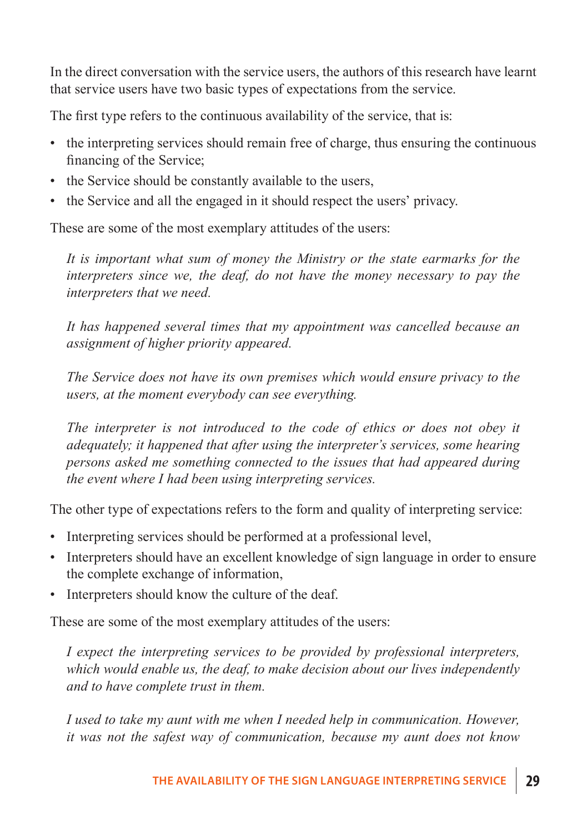In the direct conversation with the service users, the authors of this research have learnt that service users have two basic types of expectations from the service.

The first type refers to the continuous availability of the service, that is:

- the interpreting services should remain free of charge, thus ensuring the continuous financing of the Service;
- the Service should be constantly available to the users,
- the Service and all the engaged in it should respect the users' privacy.

These are some of the most exemplary attitudes of the users:

*It is important what sum of money the Ministry or the state earmarks for the interpreters since we, the deaf, do not have the money necessary to pay the interpreters that we need.*

*It has happened several times that my appointment was cancelled because an assignment of higher priority appeared.*

*The Service does not have its own premises which would ensure privacy to the users, at the moment everybody can see everything.*

The interpreter is not introduced to the code of ethics or does not obey it *adequately; it happened that after using the interpreter's services, some hearing persons asked me something connected to the issues that had appeared during the event where I had been using interpreting services.*

The other type of expectations refers to the form and quality of interpreting service:

- Interpreting services should be performed at a professional level,
- Interpreters should have an excellent knowledge of sign language in order to ensure the complete exchange of information,
- Interpreters should know the culture of the deaf.

These are some of the most exemplary attitudes of the users:

*I expect the interpreting services to be provided by professional interpreters, which would enable us, the deaf, to make decision about our lives independently and to have complete trust in them.*

*I used to take my aunt with me when I needed help in communication. However, it was not the safest way of communication, because my aunt does not know*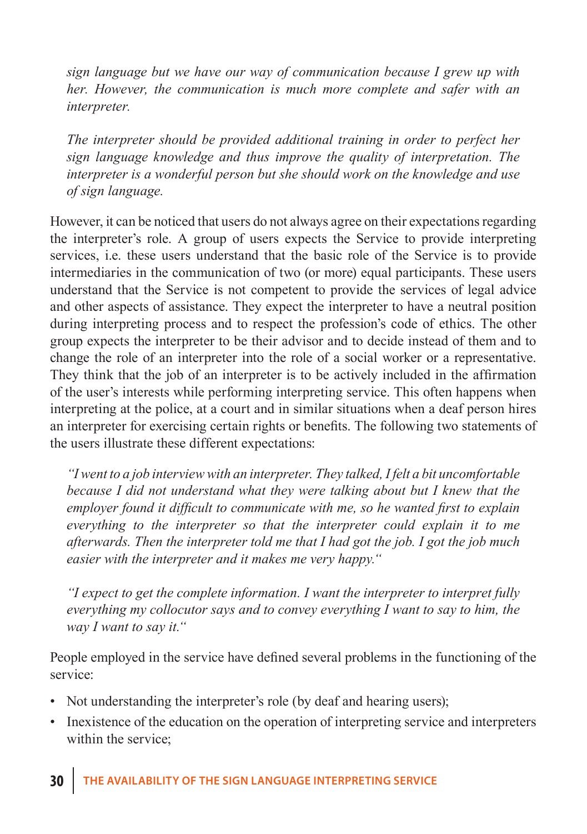*sign language but we have our way of communication because I grew up with her. However, the communication is much more complete and safer with an interpreter.*

*The interpreter should be provided additional training in order to perfect her sign language knowledge and thus improve the quality of interpretation. The interpreter is a wonderful person but she should work on the knowledge and use of sign language.*

However, it can be noticed that users do not always agree on their expectations regarding the interpreter's role. A group of users expects the Service to provide interpreting services, i.e. these users understand that the basic role of the Service is to provide intermediaries in the communication of two (or more) equal participants. These users understand that the Service is not competent to provide the services of legal advice and other aspects of assistance. They expect the interpreter to have a neutral position during interpreting process and to respect the profession's code of ethics. The other group expects the interpreter to be their advisor and to decide instead of them and to change the role of an interpreter into the role of a social worker or a representative. They think that the job of an interpreter is to be actively included in the affirmation of the user's interests while performing interpreting service. This often happens when interpreting at the police, at a court and in similar situations when a deaf person hires an interpreter for exercising certain rights or benefits. The following two statements of the users illustrate these different expectations:

*"I went to a job interview with an interpreter. They talked, I felt a bit uncomfortable because I did not understand what they were talking about but I knew that the employer found it difficult to communicate with me, so he wanted first to explain everything to the interpreter so that the interpreter could explain it to me afterwards. Then the interpreter told me that I had got the job. I got the job much easier with the interpreter and it makes me very happy."*

*"I expect to get the complete information. I want the interpreter to interpret fully everything my collocutor says and to convey everything I want to say to him, the way I want to say it."*

People employed in the service have defined several problems in the functioning of the service:

- Not understanding the interpreter's role (by deaf and hearing users);
- Inexistence of the education on the operation of interpreting service and interpreters within the service;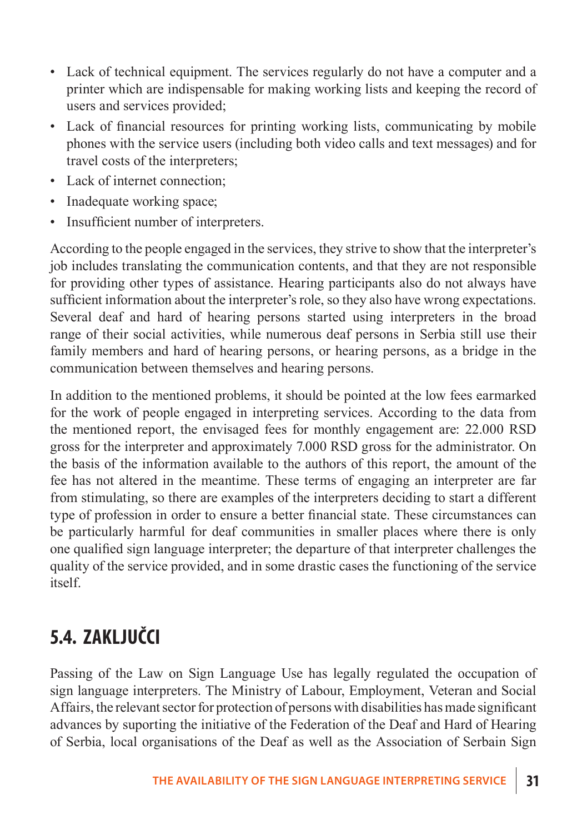- Lack of technical equipment. The services regularly do not have a computer and a printer which are indispensable for making working lists and keeping the record of users and services provided;
- Lack of financial resources for printing working lists, communicating by mobile phones with the service users (including both video calls and text messages) and for travel costs of the interpreters;
- Lack of internet connection;
- Inadequate working space;
- Insufficient number of interpreters.

According to the people engaged in the services, they strive to show that the interpreter's job includes translating the communication contents, and that they are not responsible for providing other types of assistance. Hearing participants also do not always have sufficient information about the interpreter's role, so they also have wrong expectations. Several deaf and hard of hearing persons started using interpreters in the broad range of their social activities, while numerous deaf persons in Serbia still use their family members and hard of hearing persons, or hearing persons, as a bridge in the communication between themselves and hearing persons.

In addition to the mentioned problems, it should be pointed at the low fees earmarked for the work of people engaged in interpreting services. According to the data from the mentioned report, the envisaged fees for monthly engagement are: 22.000 RSD gross for the interpreter and approximately 7.000 RSD gross for the administrator. On the basis of the information available to the authors of this report, the amount of the fee has not altered in the meantime. These terms of engaging an interpreter are far from stimulating, so there are examples of the interpreters deciding to start a different type of profession in order to ensure a better financial state. These circumstances can be particularly harmful for deaf communities in smaller places where there is only one qualified sign language interpreter; the departure of that interpreter challenges the quality of the service provided, and in some drastic cases the functioning of the service itself.

### **5.4. Zaključci**

Passing of the Law on Sign Language Use has legally regulated the occupation of sign language interpreters. The Ministry of Labour, Employment, Veteran and Social Affairs, the relevant sector for protection of persons with disabilities has made significant advances by suporting the initiative of the Federation of the Deaf and Hard of Hearing of Serbia, local organisations of the Deaf as well as the Association of Serbain Sign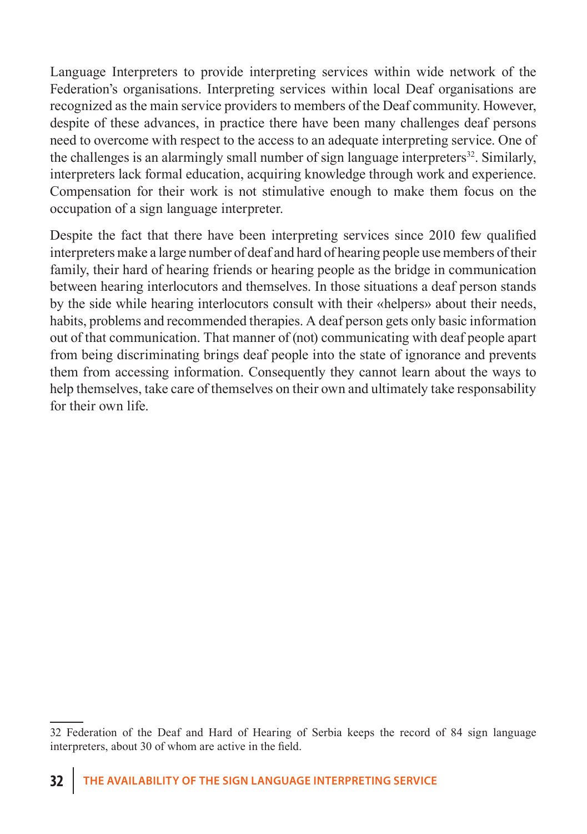Language Interpreters to provide interpreting services within wide network of the Federation's organisations. Interpreting services within local Deaf organisations are recognized as the main service providers to members of the Deaf community. However, despite of these advances, in practice there have been many challenges deaf persons need to overcome with respect to the access to an adequate interpreting service. One of the challenges is an alarmingly small number of sign language interpreters $32$ . Similarly, interpreters lack formal education, acquiring knowledge through work and experience. Compensation for their work is not stimulative enough to make them focus on the occupation of a sign language interpreter.

Despite the fact that there have been interpreting services since 2010 few qualified interpreters make a large number of deaf and hard of hearing people use members of their family, their hard of hearing friends or hearing people as the bridge in communication between hearing interlocutors and themselves. In those situations a deaf person stands by the side while hearing interlocutors consult with their «helpers» about their needs, habits, problems and recommended therapies. A deaf person gets only basic information out of that communication. That manner of (not) communicating with deaf people apart from being discriminating brings deaf people into the state of ignorance and prevents them from accessing information. Consequently they cannot learn about the ways to help themselves, take care of themselves on their own and ultimately take responsability for their own life.

<sup>32</sup> Federation of the Deaf and Hard of Hearing of Serbia keeps the record of 84 sign language interpreters, about 30 of whom are active in the field.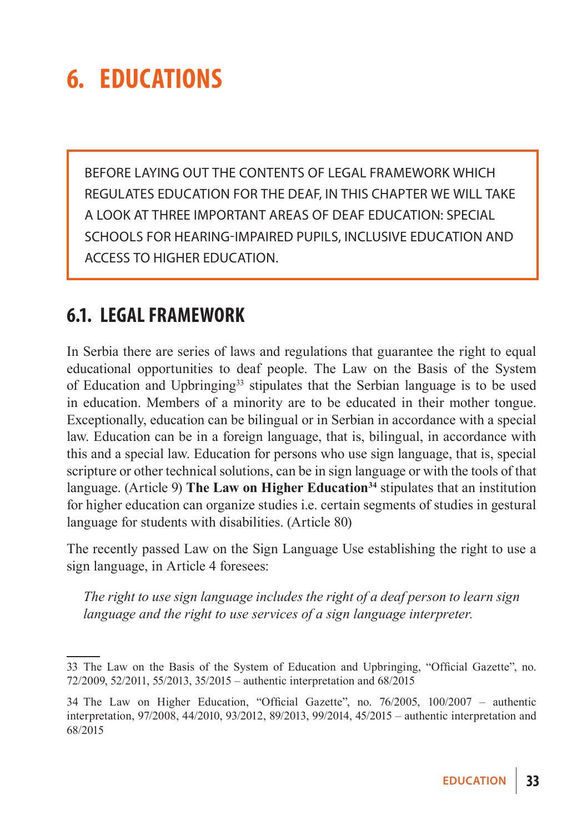## **6. EducationS**

Before laying out the contents of legal framework which regulates education for the deaf, in this chapter we will take a look at three important areas of deaf education: special schools for hearing-impaired pupils, inclusive education and access to higher education.

### **6.1. Legal framework**

In Serbia there are series of laws and regulations that guarantee the right to equal educational opportunities to deaf people. The Law on the Basis of the System of Education and Upbringing33 stipulates that the Serbian language is to be used in education. Members of a minority are to be educated in their mother tongue. Exceptionally, education can be bilingual or in Serbian in accordance with a special law. Education can be in a foreign language, that is, bilingual, in accordance with this and a special law. Education for persons who use sign language, that is, special scripture or other technical solutions, can be in sign language or with the tools of that language. (Article 9) **The Law on Higher Education**<sup>34</sup> stipulates that an institution for higher education can organize studies i.e. certain segments of studies in gestural language for students with disabilities. (Article 80)

The recently passed Law on the Sign Language Use establishing the right to use a sign language, in Article 4 foresees:

*The right to use sign language includes the right of a deaf person to learn sign language and the right to use services of a sign language interpreter.*

<sup>33</sup> The Law on the Basis of the System of Education and Upbringing, "Official Gazette", no. 72/2009, 52/2011, 55/2013, 35/2015 – authentic interpretation and 68/2015

<sup>34</sup> The Law on Higher Education, "Official Gazette", no. 76/2005, 100/2007 – authentic interpretation, 97/2008, 44/2010, 93/2012, 89/2013, 99/2014, 45/2015 – authentic interpretation and 68/2015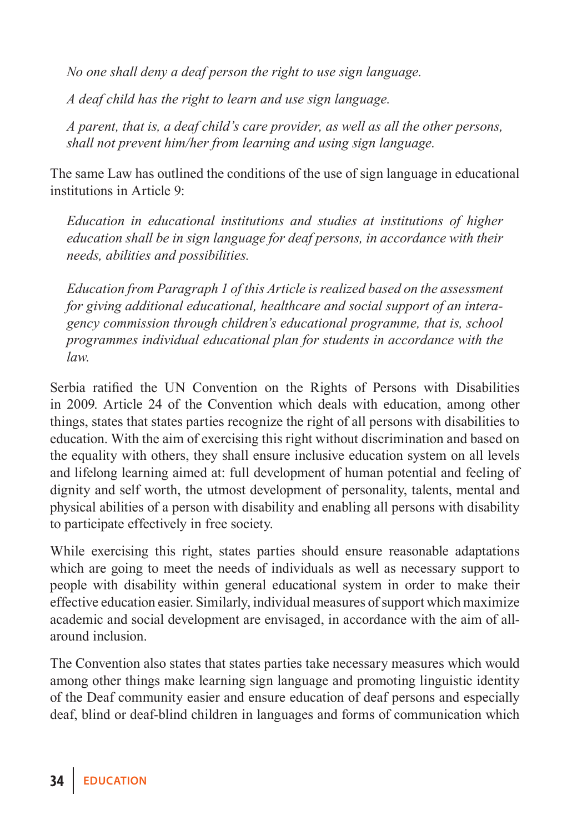*No one shall deny a deaf person the right to use sign language.*

*A deaf child has the right to learn and use sign language.*

*A parent, that is, a deaf child's care provider, as well as all the other persons, shall not prevent him/her from learning and using sign language.*

The same Law has outlined the conditions of the use of sign language in educational institutions in Article 9:

*Education in educational institutions and studies at institutions of higher education shall be in sign language for deaf persons, in accordance with their needs, abilities and possibilities.*

*Education from Paragraph 1 of this Article is realized based on the assessment for giving additional educational, healthcare and social support of an interagency commission through children's educational programme, that is, school programmes individual educational plan for students in accordance with the law.*

Serbia ratified the UN Convention on the Rights of Persons with Disabilities in 2009. Article 24 of the Convention which deals with education, among other things, states that states parties recognize the right of all persons with disabilities to education. With the aim of exercising this right without discrimination and based on the equality with others, they shall ensure inclusive education system on all levels and lifelong learning aimed at: full development of human potential and feeling of dignity and self worth, the utmost development of personality, talents, mental and physical abilities of a person with disability and enabling all persons with disability to participate effectively in free society.

While exercising this right, states parties should ensure reasonable adaptations which are going to meet the needs of individuals as well as necessary support to people with disability within general educational system in order to make their effective education easier. Similarly, individual measures of support which maximize academic and social development are envisaged, in accordance with the aim of allaround inclusion.

The Convention also states that states parties take necessary measures which would among other things make learning sign language and promoting linguistic identity of the Deaf community easier and ensure education of deaf persons and especially deaf, blind or deaf-blind children in languages and forms of communication which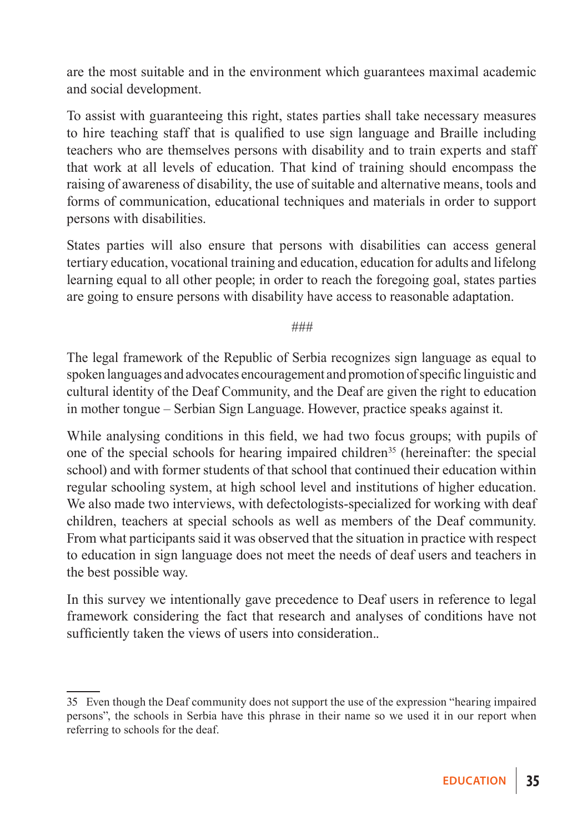are the most suitable and in the environment which guarantees maximal academic and social development.

To assist with guaranteeing this right, states parties shall take necessary measures to hire teaching staff that is qualified to use sign language and Braille including teachers who are themselves persons with disability and to train experts and staff that work at all levels of education. That kind of training should encompass the raising of awareness of disability, the use of suitable and alternative means, tools and forms of communication, educational techniques and materials in order to support persons with disabilities.

States parties will also ensure that persons with disabilities can access general tertiary education, vocational training and education, education for adults and lifelong learning equal to all other people; in order to reach the foregoing goal, states parties are going to ensure persons with disability have access to reasonable adaptation.

*###*

The legal framework of the Republic of Serbia recognizes sign language as equal to spoken languages and advocates encouragement and promotion of specific linguistic and cultural identity of the Deaf Community, and the Deaf are given the right to education in mother tongue – Serbian Sign Language. However, practice speaks against it.

While analysing conditions in this field, we had two focus groups; with pupils of one of the special schools for hearing impaired children<sup>35</sup> (hereinafter: the special school) and with former students of that school that continued their education within regular schooling system, at high school level and institutions of higher education. We also made two interviews, with defectologists-specialized for working with deaf children, teachers at special schools as well as members of the Deaf community. From what participants said it was observed that the situation in practice with respect to education in sign language does not meet the needs of deaf users and teachers in the best possible way.

In this survey we intentionally gave precedence to Deaf users in reference to legal framework considering the fact that research and analyses of conditions have not sufficiently taken the views of users into consideration..

<sup>35</sup> Even though the Deaf community does not support the use of the expression "hearing impaired persons", the schools in Serbia have this phrase in their name so we used it in our report when referring to schools for the deaf.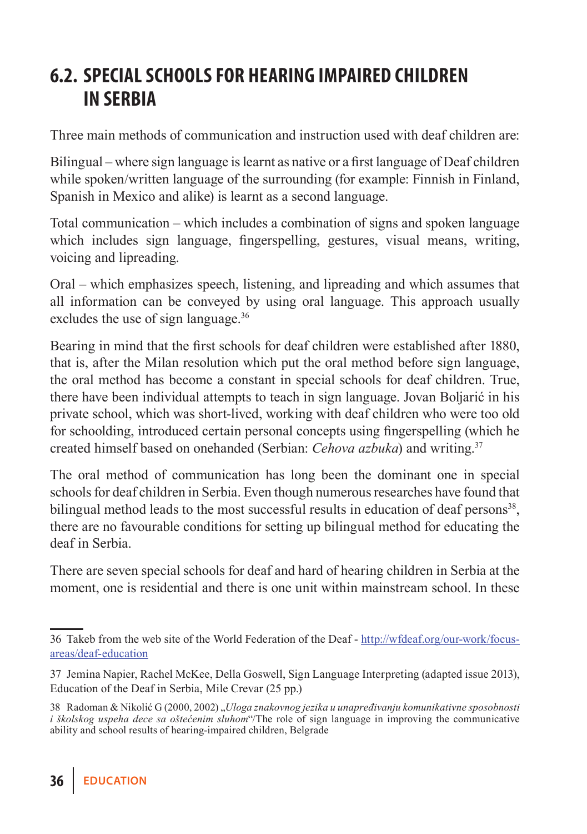### **6.2. Special schools for hearing impaired children in Serbia**

Three main methods of communication and instruction used with deaf children are:

Bilingual – where sign language is learnt as native or a first language of Deaf children while spoken/written language of the surrounding (for example: Finnish in Finland, Spanish in Mexico and alike) is learnt as a second language.

Total communication – which includes a combination of signs and spoken language which includes sign language, fingerspelling, gestures, visual means, writing, voicing and lipreading.

Oral – which emphasizes speech, listening, and lipreading and which assumes that all information can be conveyed by using oral language. This approach usually excludes the use of sign language.<sup>36</sup>

Bearing in mind that the first schools for deaf children were established after 1880, that is, after the Milan resolution which put the oral method before sign language, the oral method has become a constant in special schools for deaf children. True, there have been individual attempts to teach in sign language. Jovan Boljarić in his private school, which was short-lived, working with deaf children who were too old for schoolding, introduced certain personal concepts using fingerspelling (which he created himself based on onehanded (Serbian: *Cehova azbuka*) and writing.37

The oral method of communication has long been the dominant one in special schools for deaf children in Serbia. Even though numerous researches have found that bilingual method leads to the most successful results in education of deaf persons<sup>38</sup>, there are no favourable conditions for setting up bilingual method for educating the deaf in Serbia.

There are seven special schools for deaf and hard of hearing children in Serbia at the moment, one is residential and there is one unit within mainstream school. In these

<sup>36</sup> Takeb from the web site of the World Federation of the Deaf - http://wfdeaf.org/our-work/focusareas/deaf-education

<sup>37</sup> Jemina Napier, Rachel McKee, Della Goswell, Sign Language Interpreting (adapted issue 2013), Education of the Deaf in Serbia, Mile Crevar (25 pp.)

<sup>38</sup> Radoman & Nikolić G (2000, 2002) "*Uloga znakovnog jezika u unapređivanju komunikativne sposobnosti i školskog uspeha dece sa oštećenim sluhom*"/The role of sign language in improving the communicative ability and school results of hearing-impaired children, Belgrade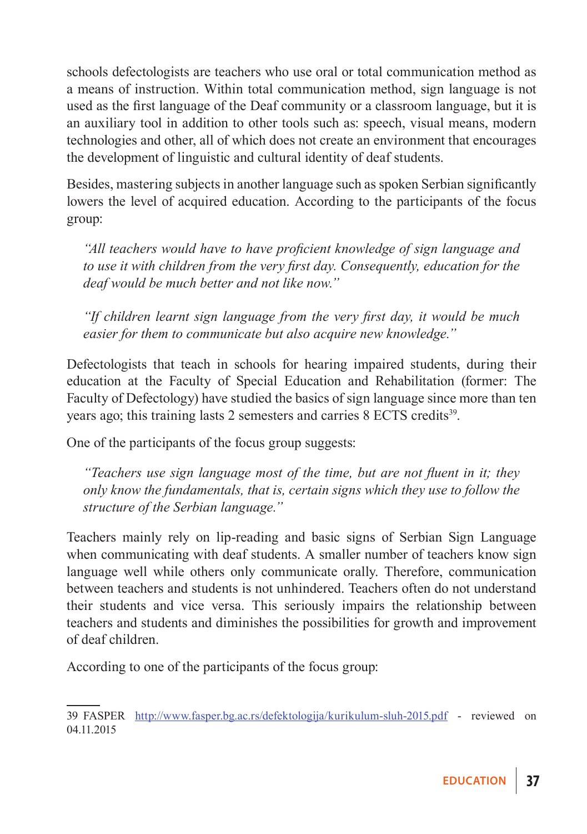schools defectologists are teachers who use oral or total communication method as a means of instruction. Within total communication method, sign language is not used as the first language of the Deaf community or a classroom language, but it is an auxiliary tool in addition to other tools such as: speech, visual means, modern technologies and other, all of which does not create an environment that encourages the development of linguistic and cultural identity of deaf students.

Besides, mastering subjects in another language such as spoken Serbian significantly lowers the level of acquired education. According to the participants of the focus group:

*"All teachers would have to have proficient knowledge of sign language and to use it with children from the very first day. Consequently, education for the deaf would be much better and not like now."*

*"If children learnt sign language from the very first day, it would be much easier for them to communicate but also acquire new knowledge."*

Defectologists that teach in schools for hearing impaired students, during their education at the Faculty of Special Education and Rehabilitation (former: The Faculty of Defectology) have studied the basics of sign language since more than ten years ago; this training lasts 2 semesters and carries 8 ECTS credits<sup>39</sup>.

One of the participants of the focus group suggests:

*"Teachers use sign language most of the time, but are not fluent in it; they only know the fundamentals, that is, certain signs which they use to follow the structure of the Serbian language."*

Teachers mainly rely on lip-reading and basic signs of Serbian Sign Language when communicating with deaf students. A smaller number of teachers know sign language well while others only communicate orally. Therefore, communication between teachers and students is not unhindered. Teachers often do not understand their students and vice versa. This seriously impairs the relationship between teachers and students and diminishes the possibilities for growth and improvement of deaf children.

According to one of the participants of the focus group:

<sup>39</sup> FASPER http://www.fasper.bg.ac.rs/defektologija/kurikulum-sluh-2015.pdf - reviewed on 04.11.2015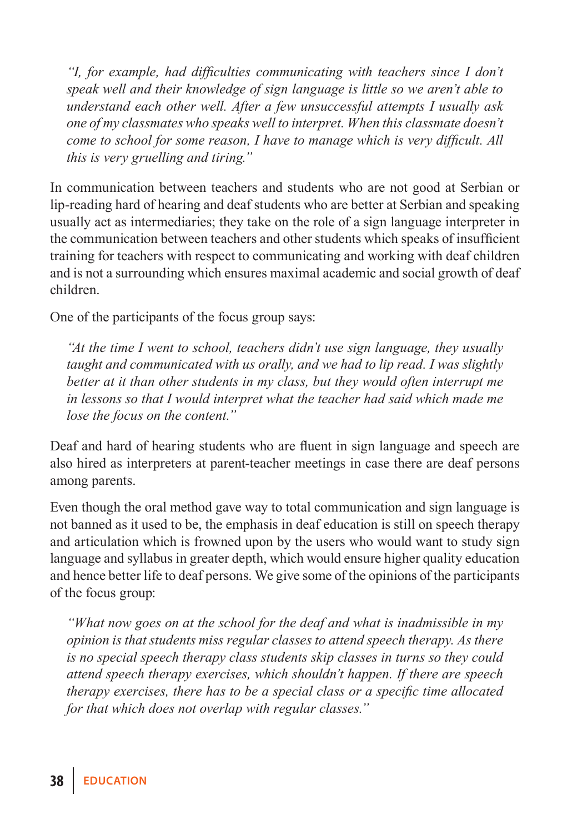*"I, for example, had difficulties communicating with teachers since I don't speak well and their knowledge of sign language is little so we aren't able to understand each other well. After a few unsuccessful attempts I usually ask one of my classmates who speaks well to interpret. When this classmate doesn't come to school for some reason, I have to manage which is very difficult. All this is very gruelling and tiring."*

In communication between teachers and students who are not good at Serbian or lip-reading hard of hearing and deaf students who are better at Serbian and speaking usually act as intermediaries; they take on the role of a sign language interpreter in the communication between teachers and other students which speaks of insufficient training for teachers with respect to communicating and working with deaf children and is not a surrounding which ensures maximal academic and social growth of deaf children.

One of the participants of the focus group says:

*"At the time I went to school, teachers didn't use sign language, they usually taught and communicated with us orally, and we had to lip read. I was slightly better at it than other students in my class, but they would often interrupt me in lessons so that I would interpret what the teacher had said which made me lose the focus on the content."*

Deaf and hard of hearing students who are fluent in sign language and speech are also hired as interpreters at parent-teacher meetings in case there are deaf persons among parents.

Even though the oral method gave way to total communication and sign language is not banned as it used to be, the emphasis in deaf education is still on speech therapy and articulation which is frowned upon by the users who would want to study sign language and syllabus in greater depth, which would ensure higher quality education and hence better life to deaf persons. We give some of the opinions of the participants of the focus group:

*"What now goes on at the school for the deaf and what is inadmissible in my opinion is that students miss regular classes to attend speech therapy. As there is no special speech therapy class students skip classes in turns so they could attend speech therapy exercises, which shouldn't happen. If there are speech therapy exercises, there has to be a special class or a specific time allocated for that which does not overlap with regular classes."*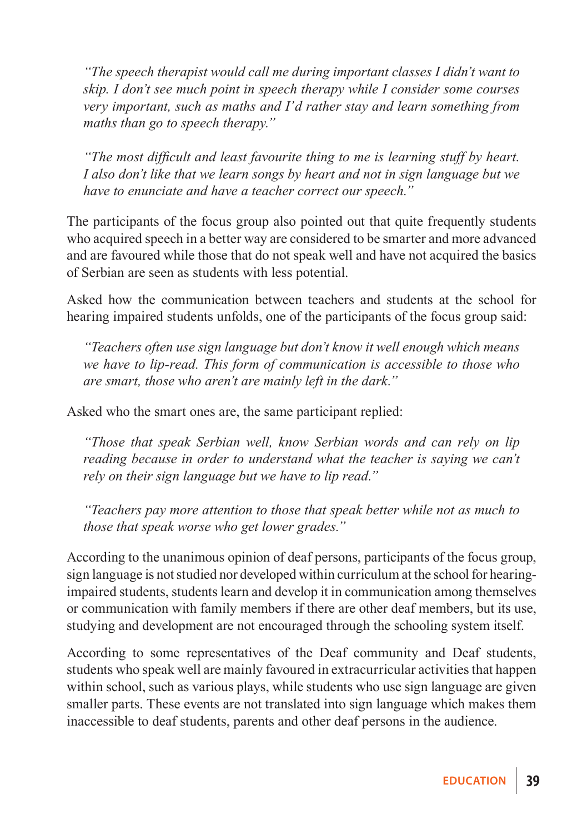*"The speech therapist would call me during important classes I didn't want to skip. I don't see much point in speech therapy while I consider some courses very important, such as maths and I'd rather stay and learn something from maths than go to speech therapy."*

*"The most difficult and least favourite thing to me is learning stuff by heart. I also don't like that we learn songs by heart and not in sign language but we have to enunciate and have a teacher correct our speech."*

The participants of the focus group also pointed out that quite frequently students who acquired speech in a better way are considered to be smarter and more advanced and are favoured while those that do not speak well and have not acquired the basics of Serbian are seen as students with less potential.

Asked how the communication between teachers and students at the school for hearing impaired students unfolds, one of the participants of the focus group said:

*"Teachers often use sign language but don't know it well enough which means we have to lip-read. This form of communication is accessible to those who are smart, those who aren't are mainly left in the dark."*

Asked who the smart ones are, the same participant replied:

*"Those that speak Serbian well, know Serbian words and can rely on lip reading because in order to understand what the teacher is saying we can't rely on their sign language but we have to lip read."*

*"Teachers pay more attention to those that speak better while not as much to those that speak worse who get lower grades."*

According to the unanimous opinion of deaf persons, participants of the focus group, sign language is not studied nor developed within curriculum at the school for hearingimpaired students, students learn and develop it in communication among themselves or communication with family members if there are other deaf members, but its use, studying and development are not encouraged through the schooling system itself.

According to some representatives of the Deaf community and Deaf students, students who speak well are mainly favoured in extracurricular activities that happen within school, such as various plays, while students who use sign language are given smaller parts. These events are not translated into sign language which makes them inaccessible to deaf students, parents and other deaf persons in the audience.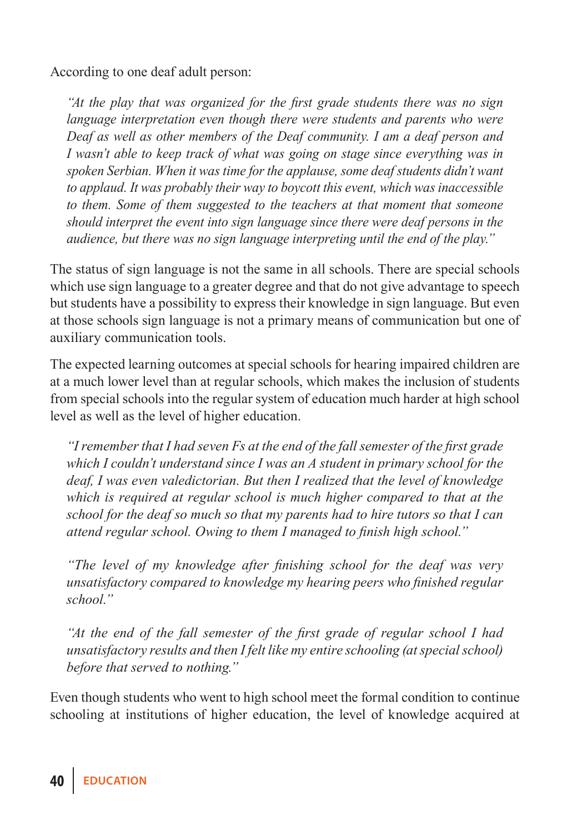According to one deaf adult person:

*"At the play that was organized for the first grade students there was no sign language interpretation even though there were students and parents who were Deaf as well as other members of the Deaf community. I am a deaf person and I wasn't able to keep track of what was going on stage since everything was in spoken Serbian. When it was time for the applause, some deaf students didn't want to applaud. It was probably their way to boycott this event, which was inaccessible to them. Some of them suggested to the teachers at that moment that someone should interpret the event into sign language since there were deaf persons in the audience, but there was no sign language interpreting until the end of the play."*

The status of sign language is not the same in all schools. There are special schools which use sign language to a greater degree and that do not give advantage to speech but students have a possibility to express their knowledge in sign language. But even at those schools sign language is not a primary means of communication but one of auxiliary communication tools.

The expected learning outcomes at special schools for hearing impaired children are at a much lower level than at regular schools, which makes the inclusion of students from special schools into the regular system of education much harder at high school level as well as the level of higher education.

*"I remember that I had seven Fs at the end of the fall semester of the first grade which I couldn't understand since I was an A student in primary school for the deaf, I was even valedictorian. But then I realized that the level of knowledge which is required at regular school is much higher compared to that at the school for the deaf so much so that my parents had to hire tutors so that I can attend regular school. Owing to them I managed to finish high school."*

*"The level of my knowledge after finishing school for the deaf was very unsatisfactory compared to knowledge my hearing peers who finished regular school."*

*"At the end of the fall semester of the first grade of regular school I had unsatisfactory results and then I felt like my entire schooling (at special school) before that served to nothing."*

Even though students who went to high school meet the formal condition to continue schooling at institutions of higher education, the level of knowledge acquired at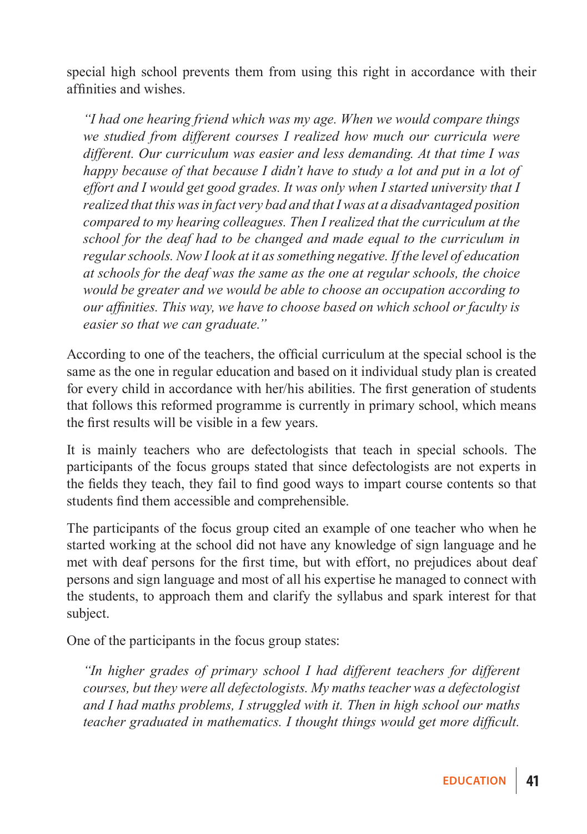special high school prevents them from using this right in accordance with their affinities and wishes.

*"I had one hearing friend which was my age. When we would compare things we studied from different courses I realized how much our curricula were different. Our curriculum was easier and less demanding. At that time I was happy because of that because I didn't have to study a lot and put in a lot of effort and I would get good grades. It was only when I started university that I realized that this was in fact very bad and that I was at a disadvantaged position compared to my hearing colleagues. Then I realized that the curriculum at the school for the deaf had to be changed and made equal to the curriculum in regular schools. Now I look at it as something negative. If the level of education at schools for the deaf was the same as the one at regular schools, the choice would be greater and we would be able to choose an occupation according to our affinities. This way, we have to choose based on which school or faculty is easier so that we can graduate."*

According to one of the teachers, the official curriculum at the special school is the same as the one in regular education and based on it individual study plan is created for every child in accordance with her/his abilities. The first generation of students that follows this reformed programme is currently in primary school, which means the first results will be visible in a few years.

It is mainly teachers who are defectologists that teach in special schools. The participants of the focus groups stated that since defectologists are not experts in the fields they teach, they fail to find good ways to impart course contents so that students find them accessible and comprehensible.

The participants of the focus group cited an example of one teacher who when he started working at the school did not have any knowledge of sign language and he met with deaf persons for the first time, but with effort, no prejudices about deaf persons and sign language and most of all his expertise he managed to connect with the students, to approach them and clarify the syllabus and spark interest for that subject.

One of the participants in the focus group states:

*"In higher grades of primary school I had different teachers for different courses, but they were all defectologists. My maths teacher was a defectologist and I had maths problems, I struggled with it. Then in high school our maths teacher graduated in mathematics. I thought things would get more difficult.*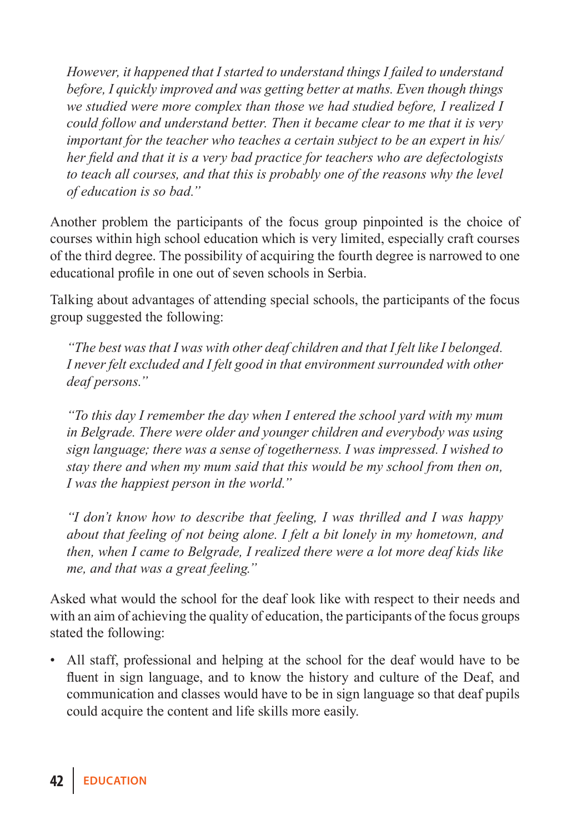*However, it happened that I started to understand things I failed to understand before, I quickly improved and was getting better at maths. Even though things we studied were more complex than those we had studied before, I realized I could follow and understand better. Then it became clear to me that it is very important for the teacher who teaches a certain subject to be an expert in his/ her field and that it is a very bad practice for teachers who are defectologists to teach all courses, and that this is probably one of the reasons why the level of education is so bad."*

Another problem the participants of the focus group pinpointed is the choice of courses within high school education which is very limited, especially craft courses of the third degree. The possibility of acquiring the fourth degree is narrowed to one educational profile in one out of seven schools in Serbia.

Talking about advantages of attending special schools, the participants of the focus group suggested the following:

*"The best was that I was with other deaf children and that I felt like I belonged. I never felt excluded and I felt good in that environment surrounded with other deaf persons."*

*"To this day I remember the day when I entered the school yard with my mum in Belgrade. There were older and younger children and everybody was using sign language; there was a sense of togetherness. I was impressed. I wished to stay there and when my mum said that this would be my school from then on, I was the happiest person in the world."*

*"I don't know how to describe that feeling, I was thrilled and I was happy about that feeling of not being alone. I felt a bit lonely in my hometown, and then, when I came to Belgrade, I realized there were a lot more deaf kids like me, and that was a great feeling."*

Asked what would the school for the deaf look like with respect to their needs and with an aim of achieving the quality of education, the participants of the focus groups stated the following:

• All staff, professional and helping at the school for the deaf would have to be fluent in sign language, and to know the history and culture of the Deaf, and communication and classes would have to be in sign language so that deaf pupils could acquire the content and life skills more easily.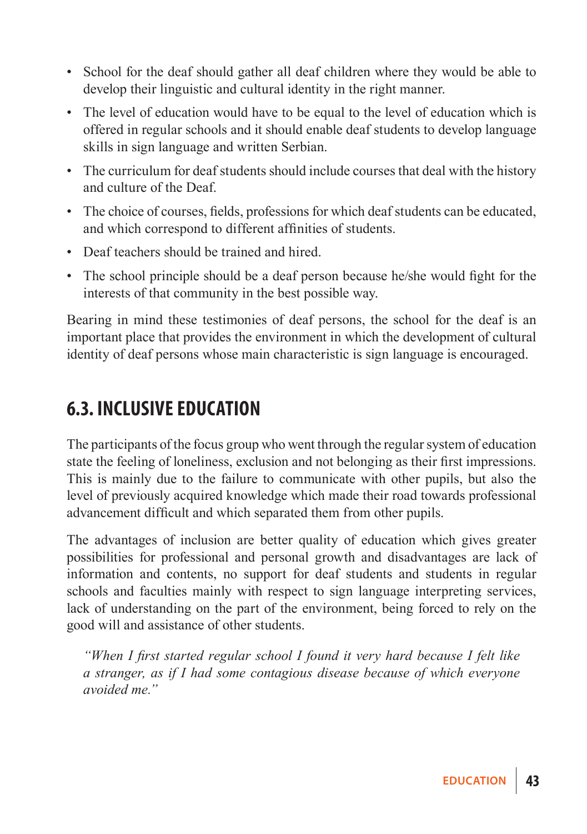- School for the deaf should gather all deaf children where they would be able to develop their linguistic and cultural identity in the right manner.
- The level of education would have to be equal to the level of education which is offered in regular schools and it should enable deaf students to develop language skills in sign language and written Serbian.
- The curriculum for deaf students should include courses that deal with the history and culture of the Deaf.
- The choice of courses, fields, professions for which deaf students can be educated, and which correspond to different affinities of students.
- Deaf teachers should be trained and hired.
- The school principle should be a deaf person because he/she would fight for the interests of that community in the best possible way.

Bearing in mind these testimonies of deaf persons, the school for the deaf is an important place that provides the environment in which the development of cultural identity of deaf persons whose main characteristic is sign language is encouraged.

### **6.3. Inclusive education**

The participants of the focus group who went through the regular system of education state the feeling of loneliness, exclusion and not belonging as their first impressions. This is mainly due to the failure to communicate with other pupils, but also the level of previously acquired knowledge which made their road towards professional advancement difficult and which separated them from other pupils.

The advantages of inclusion are better quality of education which gives greater possibilities for professional and personal growth and disadvantages are lack of information and contents, no support for deaf students and students in regular schools and faculties mainly with respect to sign language interpreting services, lack of understanding on the part of the environment, being forced to rely on the good will and assistance of other students.

*"When I first started regular school I found it very hard because I felt like a stranger, as if I had some contagious disease because of which everyone avoided me."*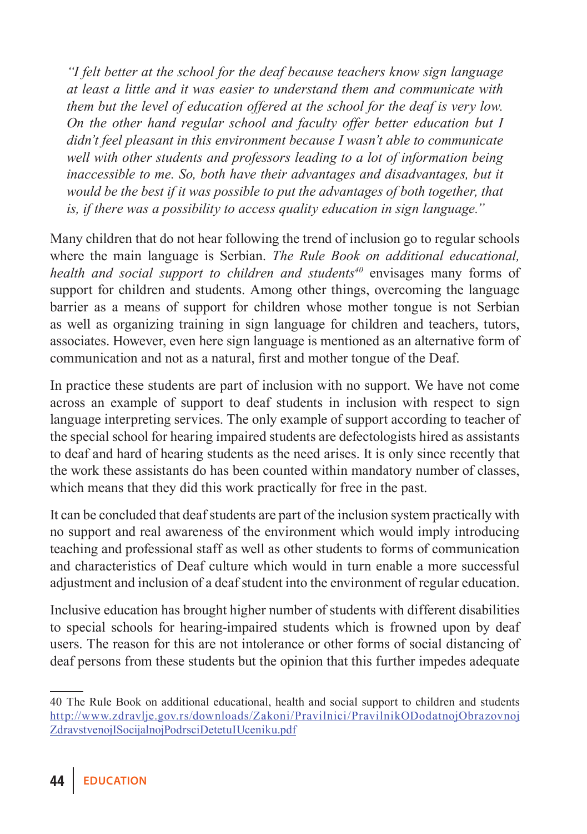*"I felt better at the school for the deaf because teachers know sign language at least a little and it was easier to understand them and communicate with them but the level of education offered at the school for the deaf is very low. On the other hand regular school and faculty offer better education but I didn't feel pleasant in this environment because I wasn't able to communicate well with other students and professors leading to a lot of information being inaccessible to me. So, both have their advantages and disadvantages, but it would be the best if it was possible to put the advantages of both together, that is, if there was a possibility to access quality education in sign language."*

Many children that do not hear following the trend of inclusion go to regular schools where the main language is Serbian. *The Rule Book on additional educational, health and social support to children and students<sup>40</sup>* envisages many forms of support for children and students. Among other things, overcoming the language barrier as a means of support for children whose mother tongue is not Serbian as well as organizing training in sign language for children and teachers, tutors, associates. However, even here sign language is mentioned as an alternative form of communication and not as a natural, first and mother tongue of the Deaf.

In practice these students are part of inclusion with no support. We have not come across an example of support to deaf students in inclusion with respect to sign language interpreting services. The only example of support according to teacher of the special school for hearing impaired students are defectologists hired as assistants to deaf and hard of hearing students as the need arises. It is only since recently that the work these assistants do has been counted within mandatory number of classes, which means that they did this work practically for free in the past.

It can be concluded that deaf students are part of the inclusion system practically with no support and real awareness of the environment which would imply introducing teaching and professional staff as well as other students to forms of communication and characteristics of Deaf culture which would in turn enable a more successful adjustment and inclusion of a deaf student into the environment of regular education.

Inclusive education has brought higher number of students with different disabilities to special schools for hearing-impaired students which is frowned upon by deaf users. The reason for this are not intolerance or other forms of social distancing of deaf persons from these students but the opinion that this further impedes adequate

<sup>40</sup> The Rule Book on additional educational, health and social support to children and students http://www.zdravlje.gov.rs/downloads/Zakoni/Pravilnici/PravilnikODodatnojObrazovnoj ZdravstvenojISocijalnojPodrsciDetetuIUceniku.pdf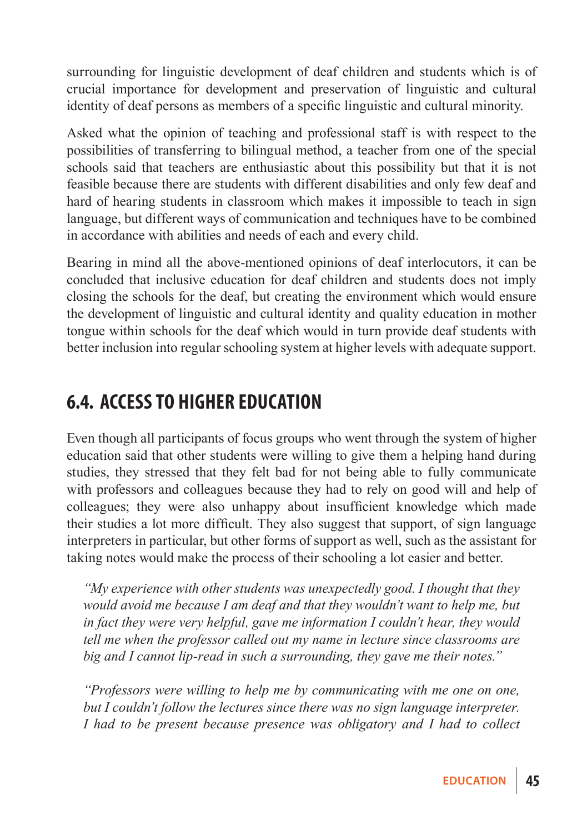surrounding for linguistic development of deaf children and students which is of crucial importance for development and preservation of linguistic and cultural identity of deaf persons as members of a specific linguistic and cultural minority.

Asked what the opinion of teaching and professional staff is with respect to the possibilities of transferring to bilingual method, a teacher from one of the special schools said that teachers are enthusiastic about this possibility but that it is not feasible because there are students with different disabilities and only few deaf and hard of hearing students in classroom which makes it impossible to teach in sign language, but different ways of communication and techniques have to be combined in accordance with abilities and needs of each and every child.

Bearing in mind all the above-mentioned opinions of deaf interlocutors, it can be concluded that inclusive education for deaf children and students does not imply closing the schools for the deaf, but creating the environment which would ensure the development of linguistic and cultural identity and quality education in mother tongue within schools for the deaf which would in turn provide deaf students with better inclusion into regular schooling system at higher levels with adequate support.

### **6.4. Access to higher education**

Even though all participants of focus groups who went through the system of higher education said that other students were willing to give them a helping hand during studies, they stressed that they felt bad for not being able to fully communicate with professors and colleagues because they had to rely on good will and help of colleagues; they were also unhappy about insufficient knowledge which made their studies a lot more difficult. They also suggest that support, of sign language interpreters in particular, but other forms of support as well, such as the assistant for taking notes would make the process of their schooling a lot easier and better.

*"My experience with other students was unexpectedly good. I thought that they would avoid me because I am deaf and that they wouldn't want to help me, but in fact they were very helpful, gave me information I couldn't hear, they would tell me when the professor called out my name in lecture since classrooms are big and I cannot lip-read in such a surrounding, they gave me their notes."*

*"Professors were willing to help me by communicating with me one on one, but I couldn't follow the lectures since there was no sign language interpreter. I had to be present because presence was obligatory and I had to collect*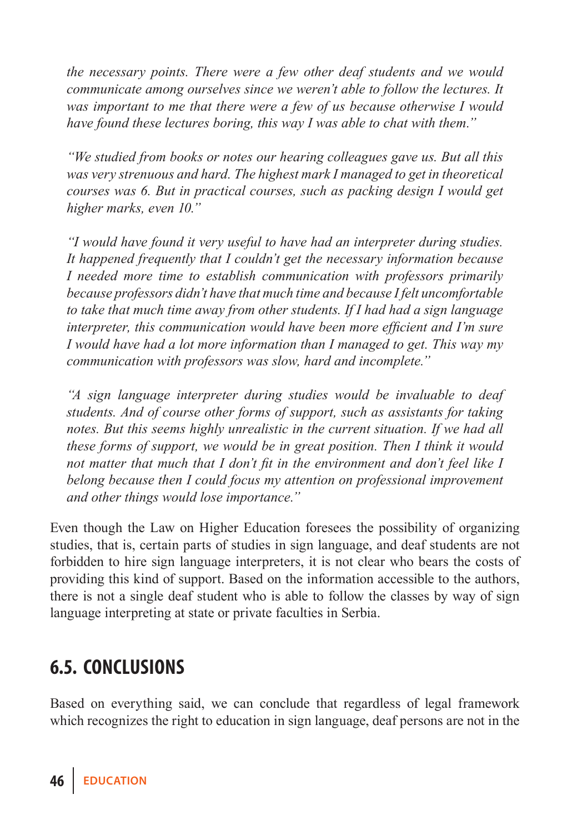*the necessary points. There were a few other deaf students and we would communicate among ourselves since we weren't able to follow the lectures. It was important to me that there were a few of us because otherwise I would have found these lectures boring, this way I was able to chat with them."*

*"We studied from books or notes our hearing colleagues gave us. But all this was very strenuous and hard. The highest mark I managed to get in theoretical courses was 6. But in practical courses, such as packing design I would get higher marks, even 10."*

*"I would have found it very useful to have had an interpreter during studies. It happened frequently that I couldn't get the necessary information because I needed more time to establish communication with professors primarily because professors didn't have that much time and because I felt uncomfortable to take that much time away from other students. If I had had a sign language interpreter, this communication would have been more efficient and I'm sure I would have had a lot more information than I managed to get. This way my communication with professors was slow, hard and incomplete."*

*"A sign language interpreter during studies would be invaluable to deaf students. And of course other forms of support, such as assistants for taking notes. But this seems highly unrealistic in the current situation. If we had all these forms of support, we would be in great position. Then I think it would not matter that much that I don't fit in the environment and don't feel like I belong because then I could focus my attention on professional improvement and other things would lose importance."*

Even though the Law on Higher Education foresees the possibility of organizing studies, that is, certain parts of studies in sign language, and deaf students are not forbidden to hire sign language interpreters, it is not clear who bears the costs of providing this kind of support. Based on the information accessible to the authors, there is not a single deaf student who is able to follow the classes by way of sign language interpreting at state or private faculties in Serbia.

### **6.5. Conclusions**

Based on everything said, we can conclude that regardless of legal framework which recognizes the right to education in sign language, deaf persons are not in the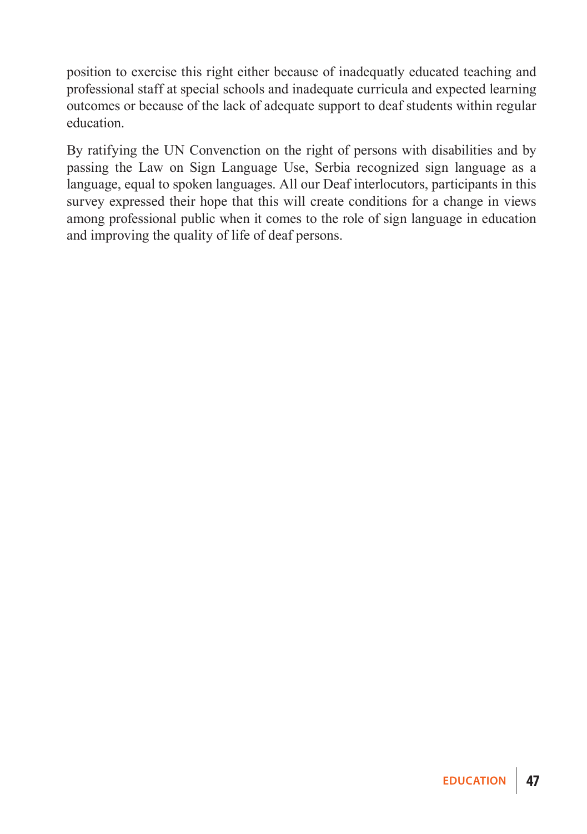position to exercise this right either because of inadequatly educated teaching and professional staff at special schools and inadequate curricula and expected learning outcomes or because of the lack of adequate support to deaf students within regular education.

By ratifying the UN Convenction on the right of persons with disabilities and by passing the Law on Sign Language Use, Serbia recognized sign language as a language, equal to spoken languages. All our Deaf interlocutors, participants in this survey expressed their hope that this will create conditions for a change in views among professional public when it comes to the role of sign language in education and improving the quality of life of deaf persons.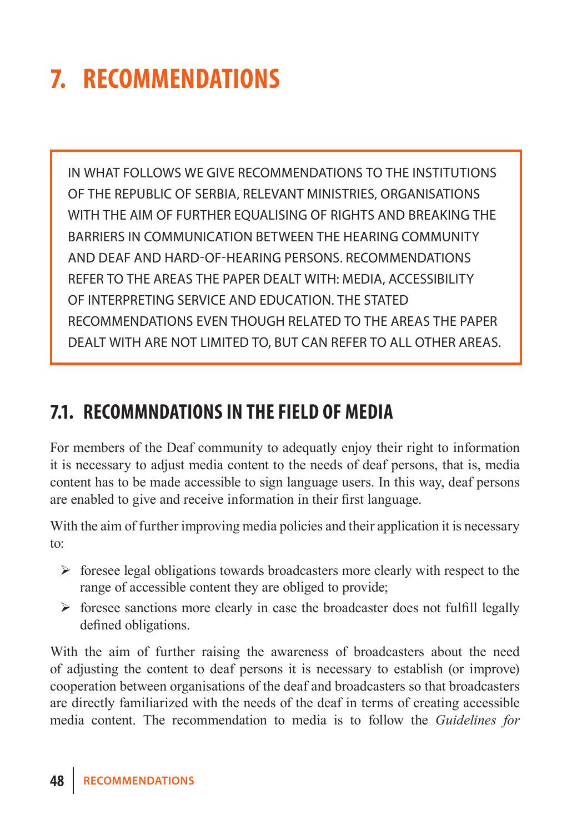# **7. Recommendations**

In what follows we give recommendations to the institutions of the Republic of Serbia, relevant ministries, organisations WITH THE AIM OF FURTHER EOUALISING OF RIGHTS AND BREAKING THE barriers in communication between the hearing community and deaf and hard-of-hearing persons. Recommendations refer to the areas the paper dealt with: media, accessibility of interpreting service and education. The stated recommendations even though related to the areas the paper dealt with are not limited to, but can refer to all other areas.

### **7.1. Recommndations in the field of media**

For members of the Deaf community to adequatly enjoy their right to information it is necessary to adjust media content to the needs of deaf persons, that is, media content has to be made accessible to sign language users. In this way, deaf persons are enabled to give and receive information in their first language.

With the aim of further improving media policies and their application it is necessary to:

- $\triangleright$  foresee legal obligations towards broadcasters more clearly with respect to the range of accessible content they are obliged to provide;
- $\triangleright$  foresee sanctions more clearly in case the broadcaster does not fulfill legally defined obligations.

With the aim of further raising the awareness of broadcasters about the need of adjusting the content to deaf persons it is necessary to establish (or improve) cooperation between organisations of the deaf and broadcasters so that broadcasters are directly familiarized with the needs of the deaf in terms of creating accessible media content. The recommendation to media is to follow the *Guidelines for*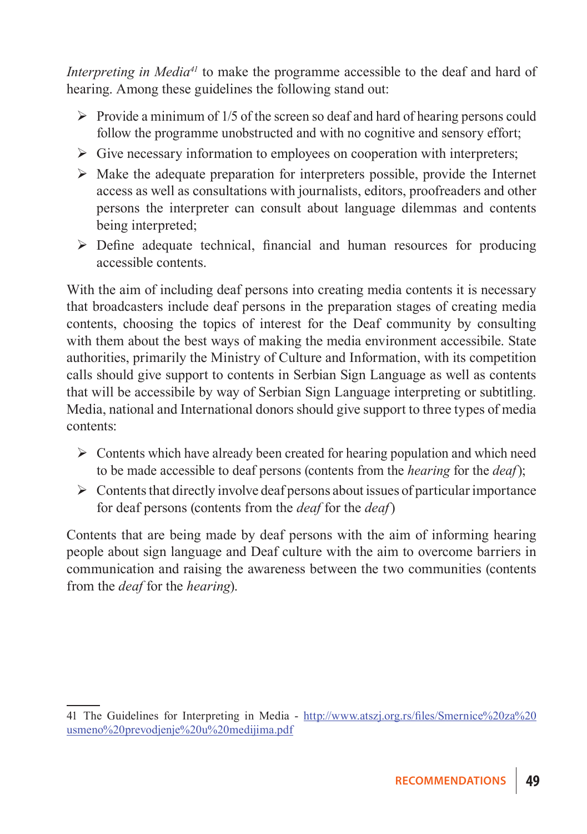*Interpreting in Media<sup>41</sup>* to make the programme accessible to the deaf and hard of hearing. Among these guidelines the following stand out:

- $\triangleright$  Provide a minimum of 1/5 of the screen so deaf and hard of hearing persons could follow the programme unobstructed and with no cognitive and sensory effort;
- $\triangleright$  Give necessary information to employees on cooperation with interpreters;
- $\triangleright$  Make the adequate preparation for interpreters possible, provide the Internet access as well as consultations with journalists, editors, proofreaders and other persons the interpreter can consult about language dilemmas and contents being interpreted;
- $\triangleright$  Define adequate technical, financial and human resources for producing accessible contents.

With the aim of including deaf persons into creating media contents it is necessary that broadcasters include deaf persons in the preparation stages of creating media contents, choosing the topics of interest for the Deaf community by consulting with them about the best ways of making the media environment accessibile. State authorities, primarily the Ministry of Culture and Information, with its competition calls should give support to contents in Serbian Sign Language as well as contents that will be accessibile by way of Serbian Sign Language interpreting or subtitling. Media, national and International donors should give support to three types of media contents:

- $\triangleright$  Contents which have already been created for hearing population and which need to be made accessible to deaf persons (contents from the *hearing* for the *deaf*);
- $\triangleright$  Contents that directly involve deaf persons about issues of particular importance for deaf persons (contents from the *deaf* for the *deaf*)

Contents that are being made by deaf persons with the aim of informing hearing people about sign language and Deaf culture with the aim to overcome barriers in communication and raising the awareness between the two communities (contents from the *deaf* for the *hearing*).

<sup>41</sup> The Guidelines for Interpreting in Media - http://www.atszj.org.rs/files/Smernice%20za%20 usmeno%20prevodjenje%20u%20medijima.pdf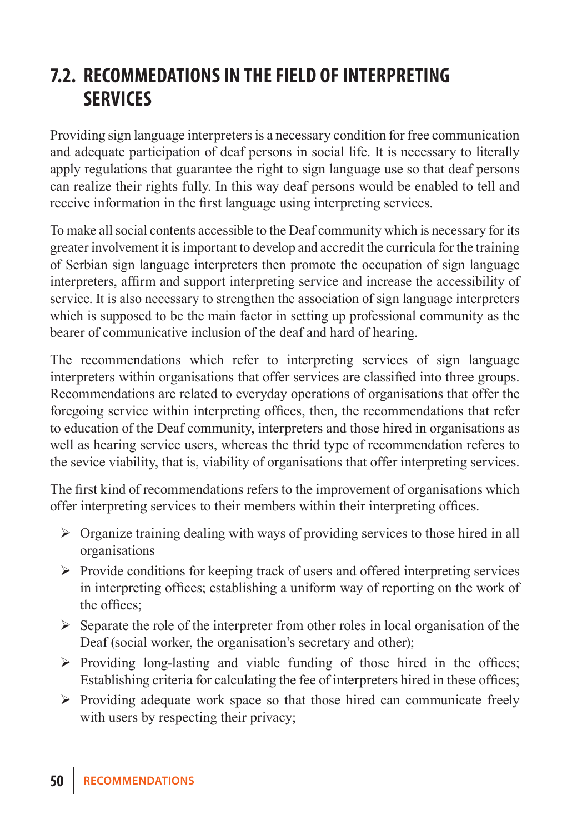### **7.2. Recommedations in the field of interpreting services**

Providing sign language interpreters is a necessary condition for free communication and adequate participation of deaf persons in social life. It is necessary to literally apply regulations that guarantee the right to sign language use so that deaf persons can realize their rights fully. In this way deaf persons would be enabled to tell and receive information in the first language using interpreting services.

To make all social contents accessible to the Deaf community which is necessary for its greater involvement it is important to develop and accredit the curricula for the training of Serbian sign language interpreters then promote the occupation of sign language interpreters, affirm and support interpreting service and increase the accessibility of service. It is also necessary to strengthen the association of sign language interpreters which is supposed to be the main factor in setting up professional community as the bearer of communicative inclusion of the deaf and hard of hearing.

The recommendations which refer to interpreting services of sign language interpreters within organisations that offer services are classified into three groups. Recommendations are related to everyday operations of organisations that offer the foregoing service within interpreting offices, then, the recommendations that refer to education of the Deaf community, interpreters and those hired in organisations as well as hearing service users, whereas the thrid type of recommendation referes to the sevice viability, that is, viability of organisations that offer interpreting services.

The first kind of recommendations refers to the improvement of organisations which offer interpreting services to their members within their interpreting offices.

- $\triangleright$  Organize training dealing with ways of providing services to those hired in all organisations
- $\triangleright$  Provide conditions for keeping track of users and offered interpreting services in interpreting offices; establishing a uniform way of reporting on the work of the offices;
- $\triangleright$  Separate the role of the interpreter from other roles in local organisation of the Deaf (social worker, the organisation's secretary and other);
- $\triangleright$  Providing long-lasting and viable funding of those hired in the offices; Establishing criteria for calculating the fee of interpreters hired in these offices;
- $\triangleright$  Providing adequate work space so that those hired can communicate freely with users by respecting their privacy;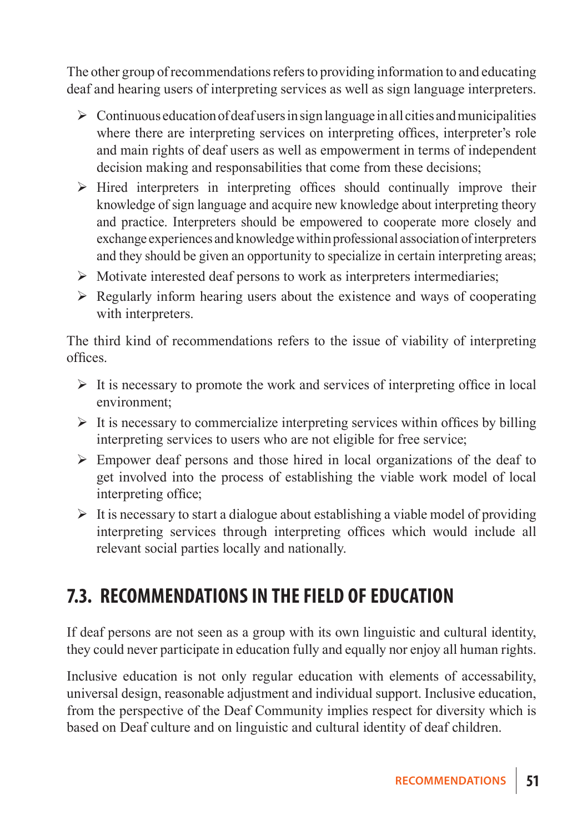The other group of recommendations refers to providing information to and educating deaf and hearing users of interpreting services as well as sign language interpreters.

- $\triangleright$  Continuous education of deaf users in sign language in all cities and municipalities where there are interpreting services on interpreting offices, interpreter's role and main rights of deaf users as well as empowerment in terms of independent decision making and responsabilities that come from these decisions;
- $\triangleright$  Hired interpreters in interpreting offices should continually improve their knowledge of sign language and acquire new knowledge about interpreting theory and practice. Interpreters should be empowered to cooperate more closely and exchange experiences and knowledge within professional association of interpreters and they should be given an opportunity to specialize in certain interpreting areas;
- $\triangleright$  Motivate interested deaf persons to work as interpreters intermediaries;
- $\triangleright$  Regularly inform hearing users about the existence and ways of cooperating with interpreters.

The third kind of recommendations refers to the issue of viability of interpreting offices.

- $\triangleright$  It is necessary to promote the work and services of interpreting office in local environment;
- $\triangleright$  It is necessary to commercialize interpreting services within offices by billing interpreting services to users who are not eligible for free service;
- $\triangleright$  Empower deaf persons and those hired in local organizations of the deaf to get involved into the process of establishing the viable work model of local interpreting office;
- $\triangleright$  It is necessary to start a dialogue about establishing a viable model of providing interpreting services through interpreting offices which would include all relevant social parties locally and nationally.

### **7.3. Recommendations in the field of education**

If deaf persons are not seen as a group with its own linguistic and cultural identity, they could never participate in education fully and equally nor enjoy all human rights.

Inclusive education is not only regular education with elements of accessability, universal design, reasonable adjustment and individual support. Inclusive education, from the perspective of the Deaf Community implies respect for diversity which is based on Deaf culture and on linguistic and cultural identity of deaf children.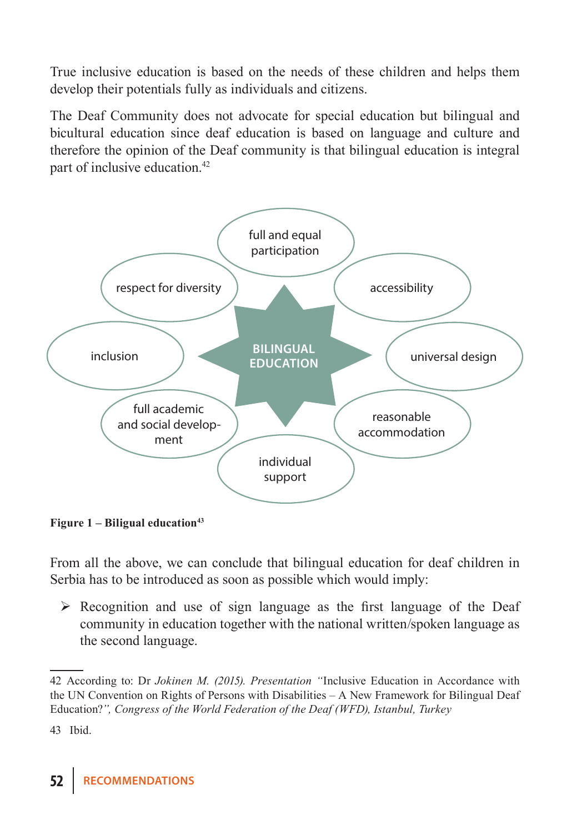True inclusive education is based on the needs of these children and helps them develop their potentials fully as individuals and citizens.

The Deaf Community does not advocate for special education but bilingual and bicultural education since deaf education is based on language and culture and therefore the opinion of the Deaf community is that bilingual education is integral part of inclusive education.42



Figure 1 – Biligual education<sup>43</sup>

From all the above, we can conclude that bilingual education for deaf children in Serbia has to be introduced as soon as possible which would imply:

 $\triangleright$  Recognition and use of sign language as the first language of the Deaf community in education together with the national written/spoken language as the second language.

<sup>42</sup> According to: Dr *Jokinen M. (2015). Presentation "*Inclusive Education in Accordance with the UN Convention on Rights of Persons with Disabilities – A New Framework for Bilingual Deaf Education?*", Congress of the World Federation of the Deaf (WFD), Istanbul, Turkey*

<sup>43</sup> Ibid.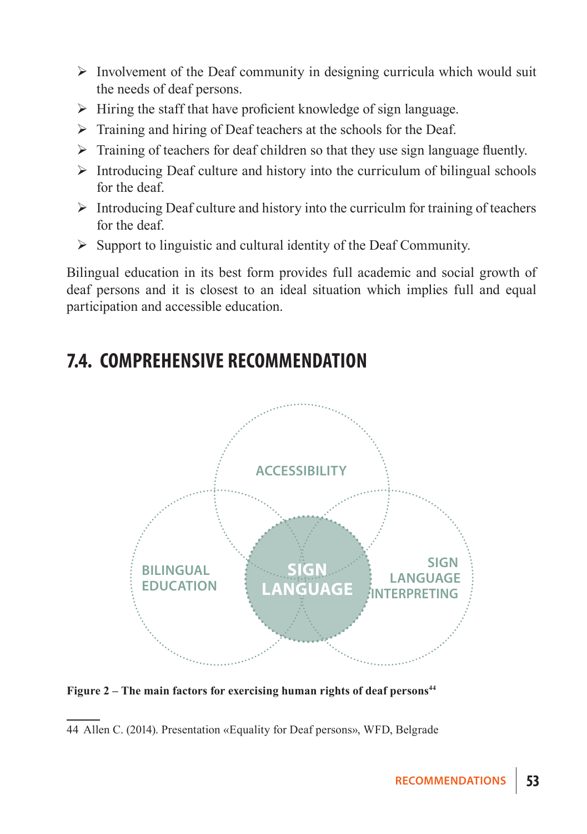- $\triangleright$  Involvement of the Deaf community in designing curricula which would suit the needs of deaf persons.
- $\triangleright$  Hiring the staff that have proficient knowledge of sign language.
- $\triangleright$  Training and hiring of Deaf teachers at the schools for the Deaf.
- $\triangleright$  Training of teachers for deaf children so that they use sign language fluently.
- $\triangleright$  Introducing Deaf culture and history into the curriculum of bilingual schools for the deaf.
- $\triangleright$  Introducing Deaf culture and history into the curriculm for training of teachers for the deaf.
- $\triangleright$  Support to linguistic and cultural identity of the Deaf Community.

Bilingual education in its best form provides full academic and social growth of deaf persons and it is closest to an ideal situation which implies full and equal participation and accessible education.

### **7.4. Comprehensive recommendation**



Figure 2 – The main factors for exercising human rights of deaf persons<sup>44</sup>

<sup>44</sup> Allen C. (2014). Presentation «Equality for Deaf persons», WFD, Belgrade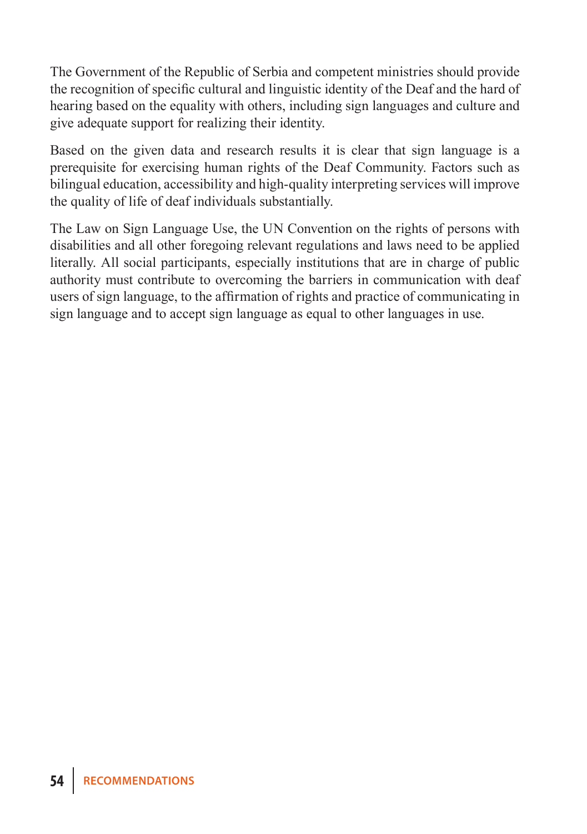The Government of the Republic of Serbia and competent ministries should provide the recognition of specific cultural and linguistic identity of the Deaf and the hard of hearing based on the equality with others, including sign languages and culture and give adequate support for realizing their identity.

Based on the given data and research results it is clear that sign language is a prerequisite for exercising human rights of the Deaf Community. Factors such as bilingual education, accessibility and high-quality interpreting services will improve the quality of life of deaf individuals substantially.

The Law on Sign Language Use, the UN Convention on the rights of persons with disabilities and all other foregoing relevant regulations and laws need to be applied literally. All social participants, especially institutions that are in charge of public authority must contribute to overcoming the barriers in communication with deaf users of sign language, to the affirmation of rights and practice of communicating in sign language and to accept sign language as equal to other languages in use.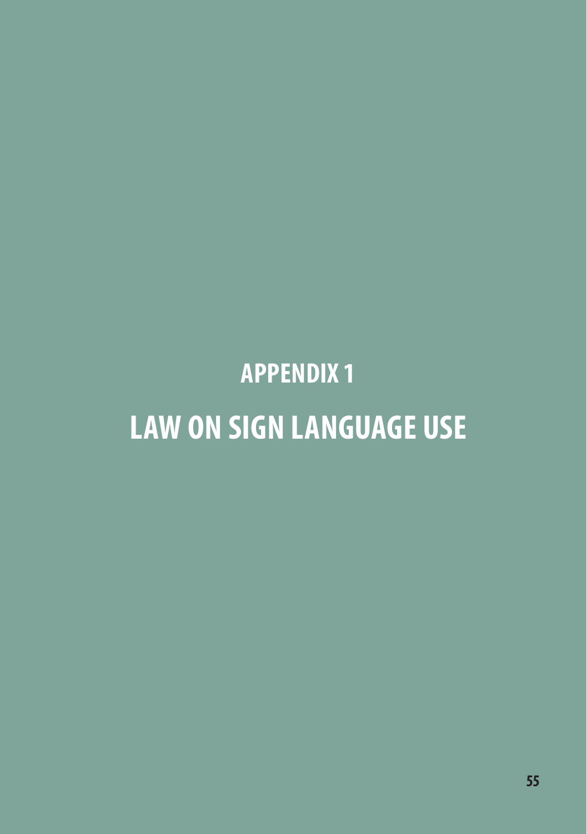# **APPENDIX 1 Law On Sign Language Use**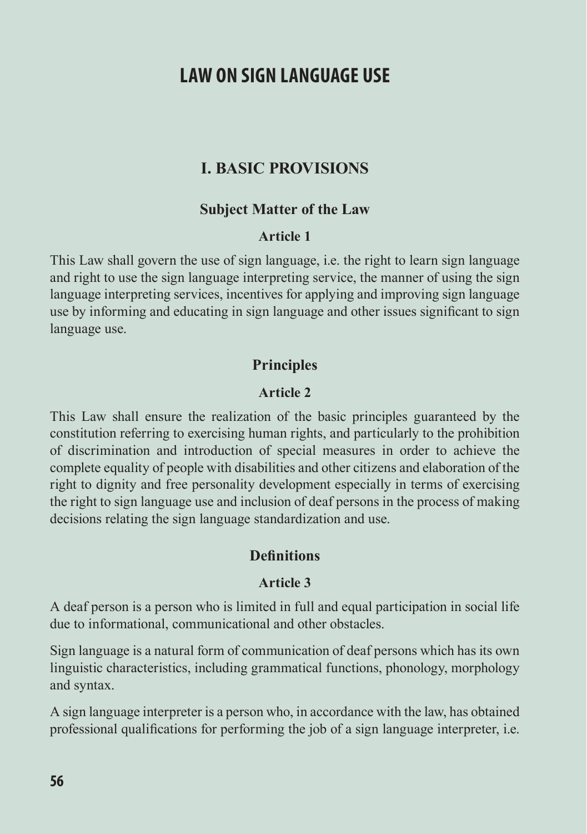### **LAW ON SIGN LAN GUAGE USE**

#### **I. BASIC PROVISIONS**

#### **Subject Matter of the Law**

#### **Article 1**

This Law shall govern the use of sign language, i.e. the right to learn sign language and right to use the sign language interpreting service, the manner of using the sign language interpreting services, incentives for applying and improving sign language use by informing and educating in sign language and other issues significant to sign language use.

#### **Principles**

#### **Article 2**

This Law shall ensure the realization of the basic principles guaranteed by the constitution referring to exercising human rights, and particularly to the prohibition of discrimination and introduction of special measures in order to achieve the complete equality of people with disabilities and other citizens and elaboration of the right to dignity and free personality development especially in terms of exercising the right to sign language use and inclusion of deaf persons in the process of making decisions relating the sign language standardization and use.

#### **Definitions**

#### **Article 3**

A deaf person is a person who is limited in full and equal participation in social life due to informational, communicational and other obstacles.

Sign language is a natural form of communication of deaf persons which has its own linguistic characteristics, including grammatical functions, phonology, morphology and syntax.

A sign language interpreter is a person who, in accordance with the law, has obtained professional qualifications for performing the job of a sign language interpreter, i.e.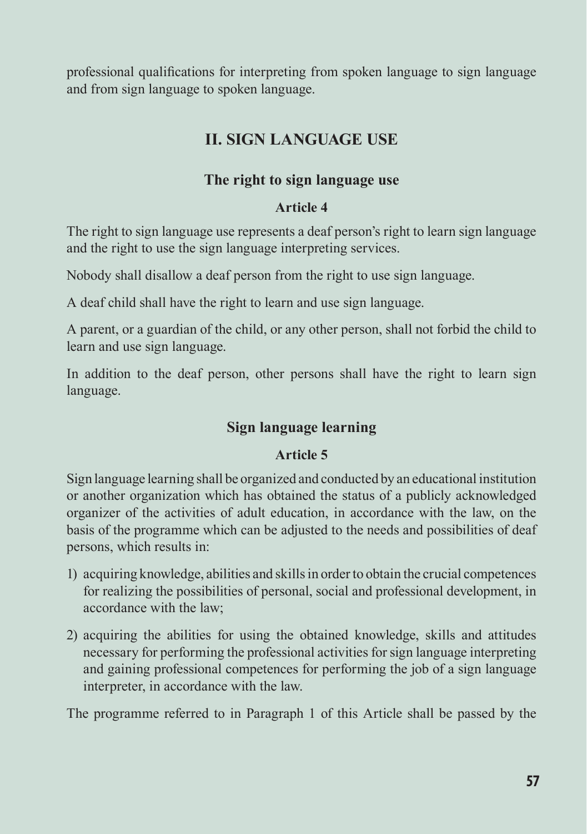professional qualifications for interpreting from spoken language to sign language and from sign language to spoken language.

#### **II. SIGN LANGUAGE USE**

#### **The right to sign language use**

#### **Article 4**

The right to sign language use represents a deaf person's right to learn sign language and the right to use the sign language interpreting services.

Nobody shall disallow a deaf person from the right to use sign language.

A deaf child shall have the right to learn and use sign language.

A parent, or a guardian of the child, or any other person, shall not forbid the child to learn and use sign language.

In addition to the deaf person, other persons shall have the right to learn sign language.

#### **Sign language learning**

#### **Article 5**

Sign language learning shall be organized and conducted by an educational institution or another organization which has obtained the status of a publicly acknowledged organizer of the activities of adult education, in accordance with the law, on the basis of the programme which can be adjusted to the needs and possibilities of deaf persons, which results in:

- 1) acquiring knowledge, abilities and skills in order to obtain the crucial competences for realizing the possibilities of personal, social and professional development, in accordance with the law;
- 2) acquiring the abilities for using the obtained knowledge, skills and attitudes necessary for performing the professional activities for sign language interpreting and gaining professional competences for performing the job of a sign language interpreter, in accordance with the law.

The programme referred to in Paragraph 1 of this Article shall be passed by the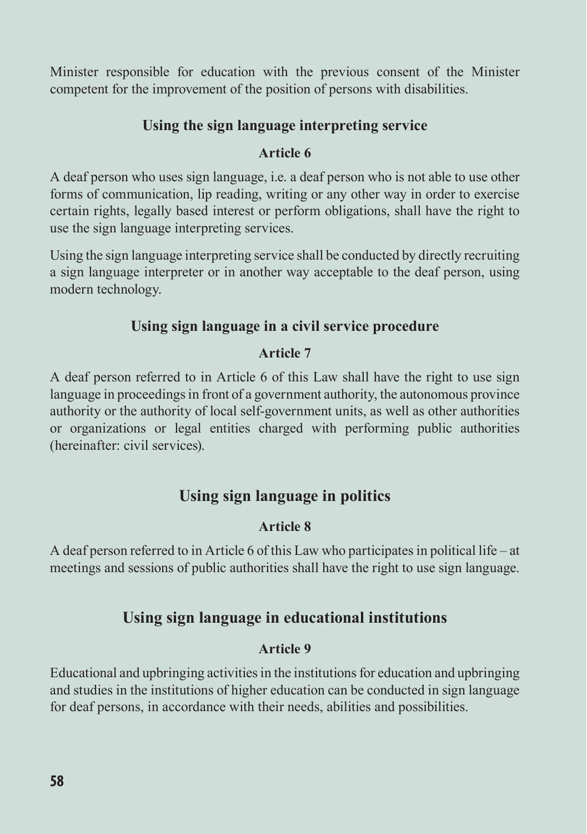Minister responsible for education with the previous consent of the Minister competent for the improvement of the position of persons with disabilities.

#### **Using the sign language interpreting service**

#### **Article 6**

A deaf person who uses sign language, i.e. a deaf person who is not able to use other forms of communication, lip reading, writing or any other way in order to exercise certain rights, legally based interest or perform obligations, shall have the right to use the sign language interpreting services.

Using the sign language interpreting service shall be conducted by directly recruiting a sign language interpreter or in another way acceptable to the deaf person, using modern technology.

#### **Using sign language in a civil service procedure**

#### **Article 7**

A deaf person referred to in Article 6 of this Law shall have the right to use sign language in proceedings in front of a government authority, the autonomous province authority or the authority of local self-government units, as well as other authorities or organizations or legal entities charged with performing public authorities (hereinafter: civil services).

#### **Using sign language in politics**

#### **Article 8**

A deaf person referred to in Article 6 of this Law who participates in political life – at meetings and sessions of public authorities shall have the right to use sign language.

#### **Using sign language in educational institutions**

#### **Article 9**

Educational and upbringing activities in the institutions for education and upbringing and studies in the institutions of higher education can be conducted in sign language for deaf persons, in accordance with their needs, abilities and possibilities.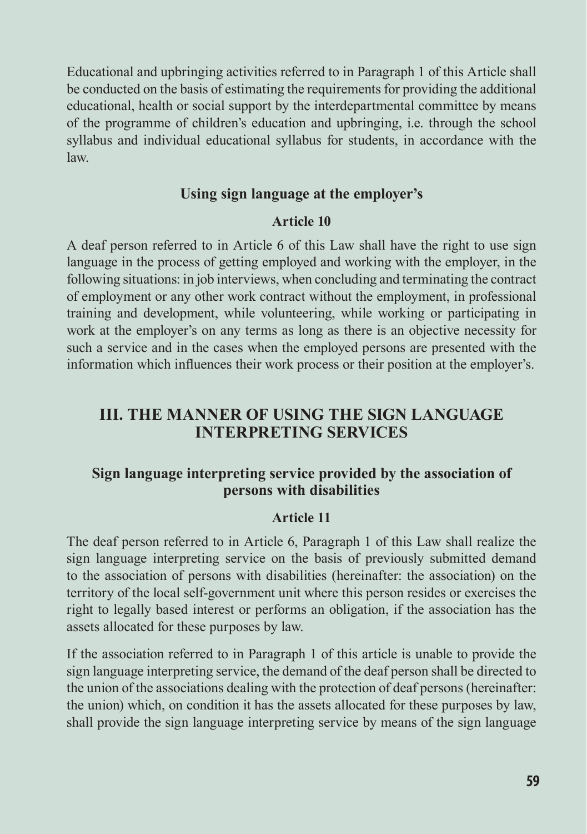Educational and upbringing activities referred to in Paragraph 1 of this Article shall be conducted on the basis of estimating the requirements for providing the additional educational, health or social support by the interdepartmental committee by means of the programme of children's education and upbringing, i.e. through the school syllabus and individual educational syllabus for students, in accordance with the law.

#### **Using sign language at the employer's**

#### **Article 10**

A deaf person referred to in Article 6 of this Law shall have the right to use sign language in the process of getting employed and working with the employer, in the following situations: in job interviews, when concluding and terminating the contract of employment or any other work contract without the employment, in professional training and development, while volunteering, while working or participating in work at the employer's on any terms as long as there is an objective necessity for such a service and in the cases when the employed persons are presented with the information which influences their work process or their position at the employer's.

#### **III. THE MANNER OF USING THE SIGN LANGUAGE INTERPRETING SERVICES**

#### **Sign language interpreting service provided by the association of persons with disabilities**

#### **Article 11**

The deaf person referred to in Article 6, Paragraph 1 of this Law shall realize the sign language interpreting service on the basis of previously submitted demand to the association of persons with disabilities (hereinafter: the association) on the territory of the local self-government unit where this person resides or exercises the right to legally based interest or performs an obligation, if the association has the assets allocated for these purposes by law.

If the association referred to in Paragraph 1 of this article is unable to provide the sign language interpreting service, the demand of the deaf person shall be directed to the union of the associations dealing with the protection of deaf persons (hereinafter: the union) which, on condition it has the assets allocated for these purposes by law, shall provide the sign language interpreting service by means of the sign language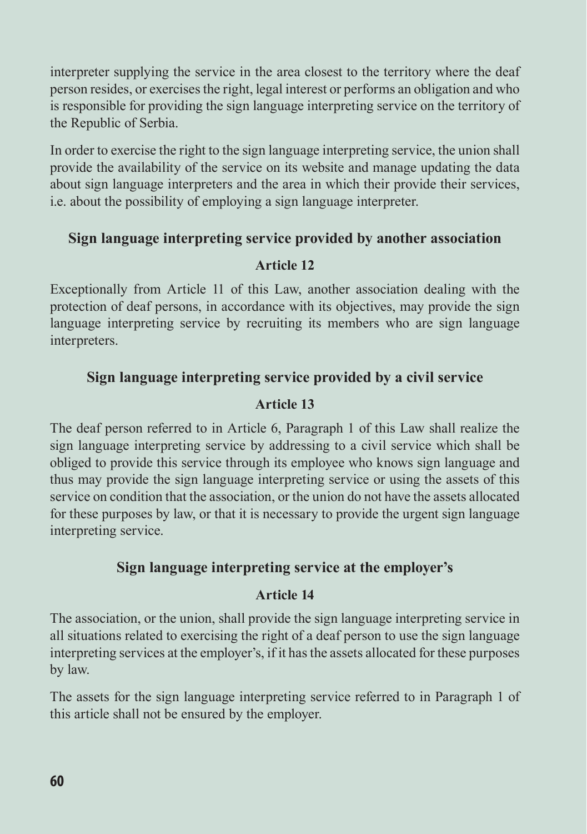interpreter supplying the service in the area closest to the territory where the deaf person resides, or exercises the right, legal interest or performs an obligation and who is responsible for providing the sign language interpreting service on the territory of the Republic of Serbia.

In order to exercise the right to the sign language interpreting service, the union shall provide the availability of the service on its website and manage updating the data about sign language interpreters and the area in which their provide their services, i.e. about the possibility of employing a sign language interpreter.

#### **Sign language interpreting service provided by another association**

#### **Article 12**

Exceptionally from Article 11 of this Law, another association dealing with the protection of deaf persons, in accordance with its objectives, may provide the sign language interpreting service by recruiting its members who are sign language interpreters.

#### **Sign language interpreting service provided by a civil service**

#### **Article 13**

The deaf person referred to in Article 6, Paragraph 1 of this Law shall realize the sign language interpreting service by addressing to a civil service which shall be obliged to provide this service through its employee who knows sign language and thus may provide the sign language interpreting service or using the assets of this service on condition that the association, or the union do not have the assets allocated for these purposes by law, or that it is necessary to provide the urgent sign language interpreting service.

#### **Sign language interpreting service at the employer's**

#### **Article 14**

The association, or the union, shall provide the sign language interpreting service in all situations related to exercising the right of a deaf person to use the sign language interpreting services at the employer's, if it has the assets allocated for these purposes by law.

The assets for the sign language interpreting service referred to in Paragraph 1 of this article shall not be ensured by the employer.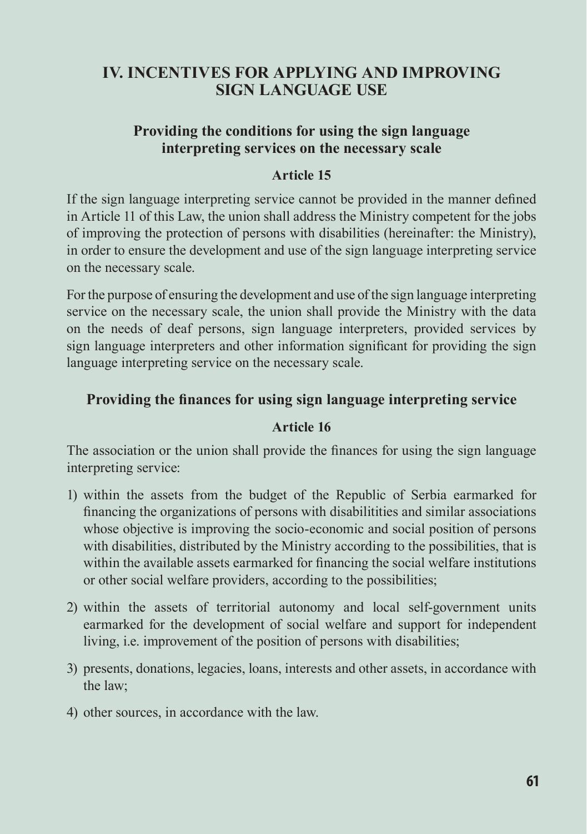#### **IV. INCENTIVES FOR APPLYING AND IMPROVING SIGN LANGUAGE USE**

#### **Providing the conditions for using the sign language interpreting services on the necessary scale**

#### **Article 15**

If the sign language interpreting service cannot be provided in the manner defined in Article 11 of this Law, the union shall address the Ministry competent for the jobs of improving the protection of persons with disabilities (hereinafter: the Ministry), in order to ensure the development and use of the sign language interpreting service on the necessary scale.

For the purpose of ensuring the development and use of the sign language interpreting service on the necessary scale, the union shall provide the Ministry with the data on the needs of deaf persons, sign language interpreters, provided services by sign language interpreters and other information significant for providing the sign language interpreting service on the necessary scale.

#### **Providing the finances for using sign language interpreting service**

#### **Article 16**

The association or the union shall provide the finances for using the sign language interpreting service:

- 1) within the assets from the budget of the Republic of Serbia earmarked for financing the organizations of persons with disabilitities and similar associations whose objective is improving the socio-economic and social position of persons with disabilities, distributed by the Ministry according to the possibilities, that is within the available assets earmarked for financing the social welfare institutions or other social welfare providers, according to the possibilities;
- 2) within the assets of territorial autonomy and local self-government units earmarked for the development of social welfare and support for independent living, i.e. improvement of the position of persons with disabilities;
- 3) presents, donations, legacies, loans, interests and other assets, in accordance with the law;
- 4) other sources, in accordance with the law.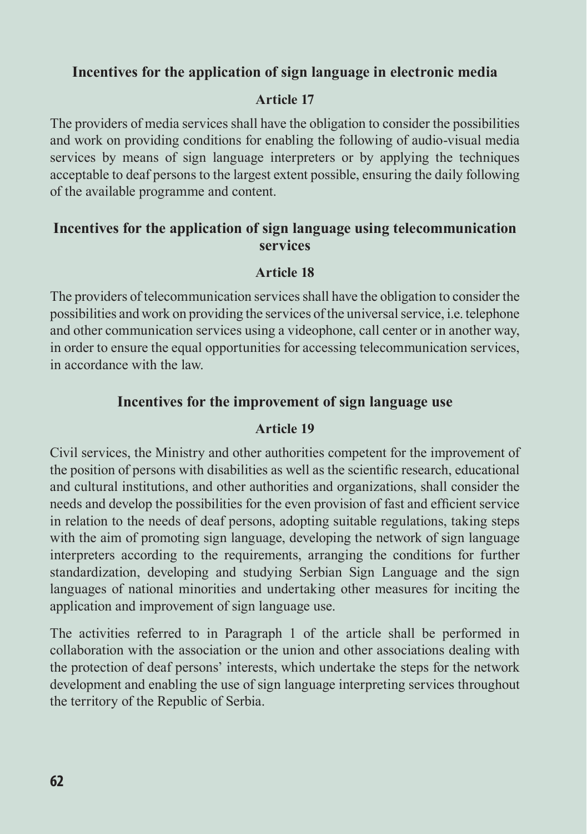#### **Incentives for the application of sign language in electronic media**

#### **Article 17**

The providers of media services shall have the obligation to consider the possibilities and work on providing conditions for enabling the following of audio-visual media services by means of sign language interpreters or by applying the techniques acceptable to deaf persons to the largest extent possible, ensuring the daily following of the available programme and content.

#### **Incentives for the application of sign language using telecommunication services**

#### **Article 18**

The providers of telecommunication services shall have the obligation to consider the possibilities and work on providing the services of the universal service, i.e. telephone and other communication services using a videophone, call center or in another way, in order to ensure the equal opportunities for accessing telecommunication services, in accordance with the law.

#### **Incentives for the improvement of sign language use**

#### **Article 19**

Civil services, the Ministry and other authorities competent for the improvement of the position of persons with disabilities as well as the scientific research, educational and cultural institutions, and other authorities and organizations, shall consider the needs and develop the possibilities for the even provision of fast and efficient service in relation to the needs of deaf persons, adopting suitable regulations, taking steps with the aim of promoting sign language, developing the network of sign language interpreters according to the requirements, arranging the conditions for further standardization, developing and studying Serbian Sign Language and the sign languages of national minorities and undertaking other measures for inciting the application and improvement of sign language use.

The activities referred to in Paragraph 1 of the article shall be performed in collaboration with the association or the union and other associations dealing with the protection of deaf persons' interests, which undertake the steps for the network development and enabling the use of sign language interpreting services throughout the territory of the Republic of Serbia.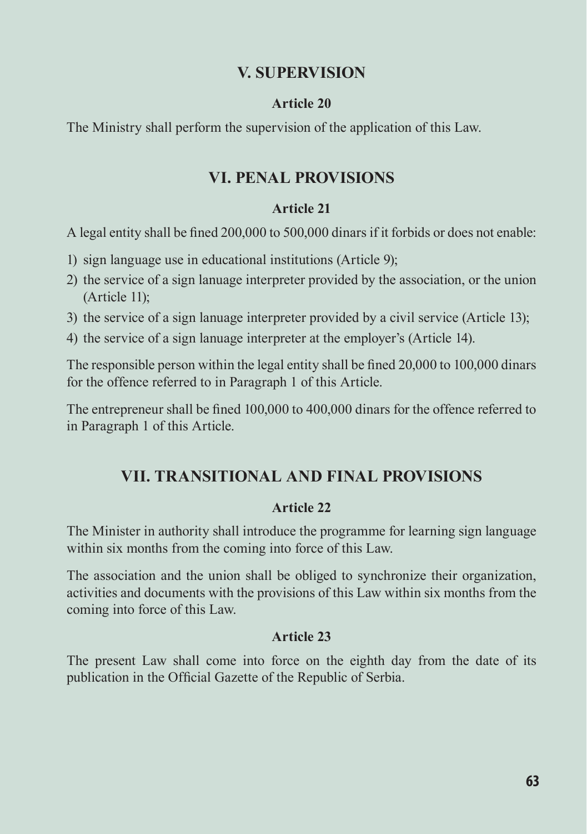#### **V. SUPERVISION**

#### **Article 20**

The Ministry shall perform the supervision of the application of this Law.

#### **VI. PENAL PROVISIONS**

#### **Article 21**

A legal entity shall be fined 200,000 to 500,000 dinars if it forbids or does not enable:

- 1) sign language use in educational institutions (Article 9);
- 2) the service of a sign lanuage interpreter provided by the association, or the union (Article 11);
- 3) the service of a sign lanuage interpreter provided by a civil service (Article 13);
- 4) the service of a sign lanuage interpreter at the employer's (Article 14).

The responsible person within the legal entity shall be fined 20,000 to 100,000 dinars for the offence referred to in Paragraph 1 of this Article.

The entrepreneur shall be fined 100,000 to 400,000 dinars for the offence referred to in Paragraph 1 of this Article.

#### **VII. TRANSITIONAL AND FINAL PROVISIONS**

#### **Article 22**

The Minister in authority shall introduce the programme for learning sign language within six months from the coming into force of this Law.

The association and the union shall be obliged to synchronize their organization, activities and documents with the provisions of this Law within six months from the coming into force of this Law.

#### **Article 23**

The present Law shall come into force on the eighth day from the date of its publication in the Official Gazette of the Republic of Serbia.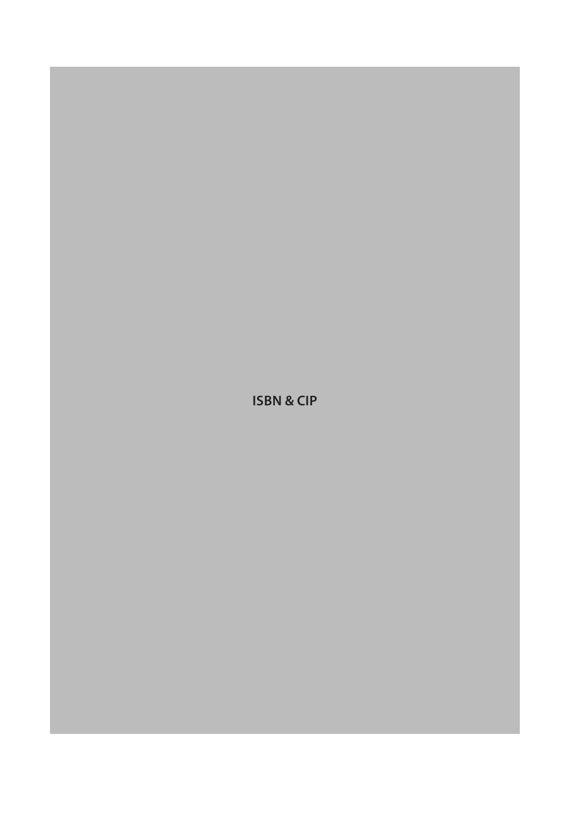**ISBN & CIP**